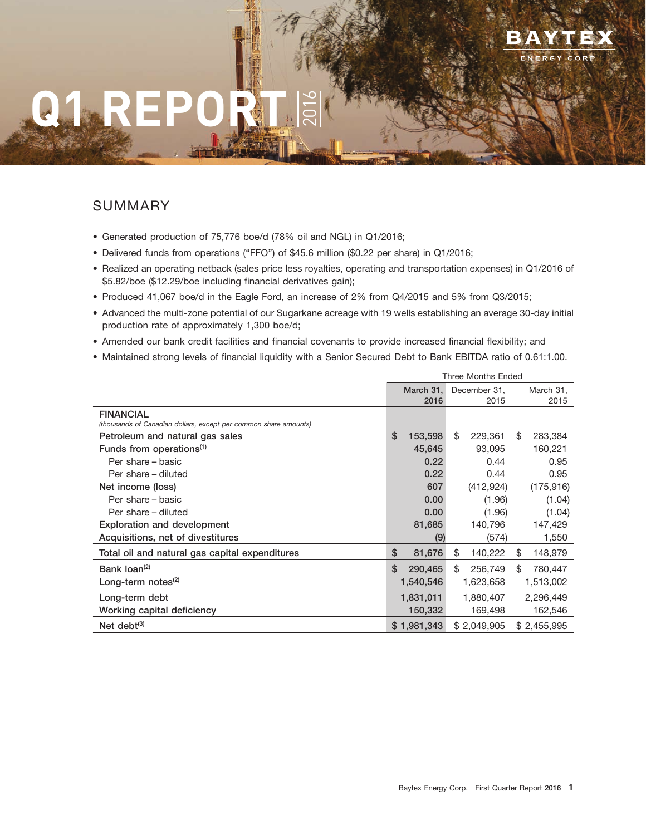# **QUAREPORT**

# SUMMARY

- Generated production of 75,776 boe/d (78% oil and NGL) in Q1/2016;
- Delivered funds from operations ("FFO") of \$45.6 million (\$0.22 per share) in Q1/2016;
- Realized an operating netback (sales price less royalties, operating and transportation expenses) in Q1/2016 of \$5.82/boe (\$12.29/boe including financial derivatives gain);
- Produced 41,067 boe/d in the Eagle Ford, an increase of 2% from Q4/2015 and 5% from Q3/2015;

2016

- Advanced the multi-zone potential of our Sugarkane acreage with 19 wells establishing an average 30-day initial production rate of approximately 1,300 boe/d;
- Amended our bank credit facilities and financial covenants to provide increased financial flexibility; and
- Maintained strong levels of financial liquidity with a Senior Secured Debt to Bank EBITDA ratio of 0.61:1.00.

|                                                                  | <b>Three Months Ended</b> |             |    |             |    |             |
|------------------------------------------------------------------|---------------------------|-------------|----|-------------|----|-------------|
|                                                                  | March 31.<br>December 31, |             |    | March 31,   |    |             |
|                                                                  |                           | 2016        |    | 2015        |    | 2015        |
| <b>FINANCIAL</b>                                                 |                           |             |    |             |    |             |
| (thousands of Canadian dollars, except per common share amounts) |                           |             |    |             |    |             |
| Petroleum and natural gas sales                                  | \$                        | 153,598     | \$ | 229,361     | \$ | 283,384     |
| Funds from operations <sup>(1)</sup>                             |                           | 45,645      |    | 93,095      |    | 160,221     |
| Per share – basic                                                |                           | 0.22        |    | 0.44        |    | 0.95        |
| Per share – diluted                                              |                           | 0.22        |    | 0.44        |    | 0.95        |
| Net income (loss)                                                |                           | 607         |    | (412, 924)  |    | (175, 916)  |
| Per share - basic                                                |                           | 0.00        |    | (1.96)      |    | (1.04)      |
| Per share – diluted                                              |                           | 0.00        |    | (1.96)      |    | (1.04)      |
| <b>Exploration and development</b>                               |                           | 81,685      |    | 140,796     |    | 147,429     |
| Acquisitions, net of divestitures                                |                           | (9)         |    | (574)       |    | 1,550       |
| Total oil and natural gas capital expenditures                   | \$                        | 81,676      | \$ | 140,222     | \$ | 148,979     |
| Bank loan <sup>(2)</sup>                                         | \$                        | 290,465     | \$ | 256,749     | \$ | 780,447     |
| Long-term notes $(2)$                                            |                           | 1,540,546   |    | 1,623,658   |    | 1,513,002   |
| Long-term debt                                                   |                           | 1,831,011   |    | 1,880,407   |    | 2,296,449   |
| Working capital deficiency                                       |                           | 150,332     |    | 169,498     |    | 162,546     |
| Net debt $(3)$                                                   |                           | \$1.981.343 |    | \$2,049,905 |    | \$2.455.995 |

6MAY2016040352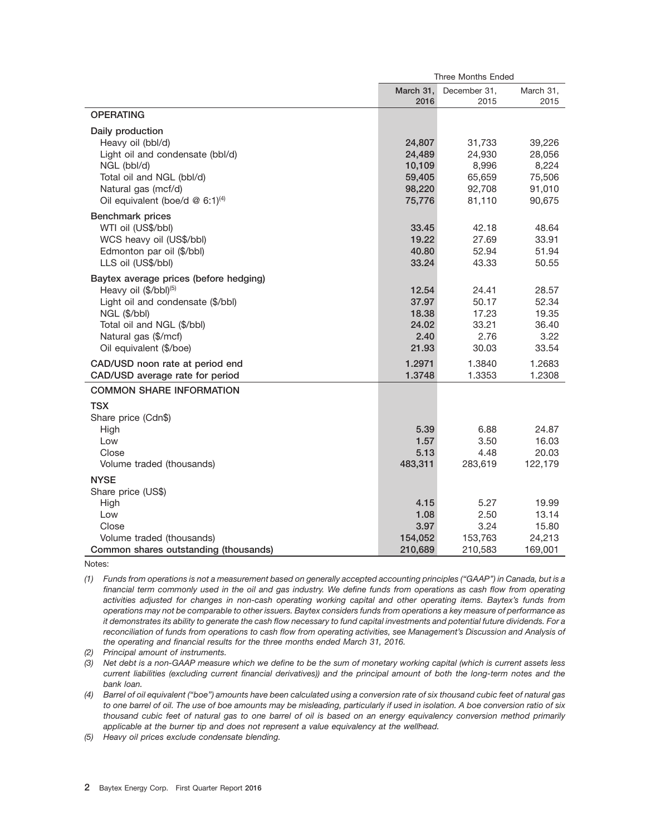|                                             | <b>Three Months Ended</b> |              |           |  |
|---------------------------------------------|---------------------------|--------------|-----------|--|
|                                             | March 31,                 | December 31. | March 31, |  |
|                                             | 2016                      | 2015         | 2015      |  |
| <b>OPERATING</b>                            |                           |              |           |  |
| Daily production                            |                           |              |           |  |
| Heavy oil (bbl/d)                           | 24,807                    | 31,733       | 39,226    |  |
| Light oil and condensate (bbl/d)            | 24,489                    | 24,930       | 28,056    |  |
| NGL (bbl/d)                                 | 10,109                    | 8,996        | 8,224     |  |
| Total oil and NGL (bbl/d)                   | 59,405                    | 65,659       | 75,506    |  |
| Natural gas (mcf/d)                         | 98,220                    | 92,708       | 91,010    |  |
| Oil equivalent (boe/d @ 6:1) <sup>(4)</sup> | 75,776                    | 81,110       | 90,675    |  |
| <b>Benchmark prices</b>                     |                           |              |           |  |
| WTI oil (US\$/bbl)                          | 33.45                     | 42.18        | 48.64     |  |
| WCS heavy oil (US\$/bbl)                    | 19.22                     | 27.69        | 33.91     |  |
| Edmonton par oil (\$/bbl)                   | 40.80                     | 52.94        | 51.94     |  |
| LLS oil (US\$/bbl)                          | 33.24                     | 43.33        | 50.55     |  |
| Baytex average prices (before hedging)      |                           |              |           |  |
| Heavy oil (\$/bbl) <sup>(5)</sup>           | 12.54                     | 24.41        | 28.57     |  |
| Light oil and condensate (\$/bbl)           | 37.97                     | 50.17        | 52.34     |  |
| NGL (\$/bbl)                                | 18.38                     | 17.23        | 19.35     |  |
| Total oil and NGL (\$/bbl)                  | 24.02                     | 33.21        | 36.40     |  |
| Natural gas (\$/mcf)                        | 2.40                      | 2.76         | 3.22      |  |
| Oil equivalent (\$/boe)                     | 21.93                     | 30.03        | 33.54     |  |
| CAD/USD noon rate at period end             | 1.2971                    | 1.3840       | 1.2683    |  |
| CAD/USD average rate for period             | 1.3748                    | 1.3353       | 1.2308    |  |
| <b>COMMON SHARE INFORMATION</b>             |                           |              |           |  |
| <b>TSX</b>                                  |                           |              |           |  |
| Share price (Cdn\$)                         |                           |              |           |  |
| High                                        | 5.39                      | 6.88         | 24.87     |  |
| Low                                         | 1.57                      | 3.50         | 16.03     |  |
| Close                                       | 5.13                      | 4.48         | 20.03     |  |
| Volume traded (thousands)                   | 483,311                   | 283,619      | 122,179   |  |
| <b>NYSE</b>                                 |                           |              |           |  |
| Share price (US\$)                          |                           |              |           |  |
| High                                        | 4.15                      | 5.27         | 19.99     |  |
| Low                                         | 1.08                      | 2.50         | 13.14     |  |
| Close                                       | 3.97                      | 3.24         | 15.80     |  |
| Volume traded (thousands)                   | 154,052                   | 153,763      | 24,213    |  |
| Common shares outstanding (thousands)       | 210,689                   | 210,583      | 169,001   |  |

Notes:

*(1) Funds from operations is not a measurement based on generally accepted accounting principles (''GAAP'') in Canada, but is a financial term commonly used in the oil and gas industry. We define funds from operations as cash flow from operating activities adjusted for changes in non-cash operating working capital and other operating items. Baytex's funds from operations may not be comparable to other issuers. Baytex considers funds from operations a key measure of performance as it demonstrates its ability to generate the cash flow necessary to fund capital investments and potential future dividends. For a reconciliation of funds from operations to cash flow from operating activities, see Management's Discussion and Analysis of the operating and financial results for the three months ended March 31, 2016.*

*(2) Principal amount of instruments.*

*(3) Net debt is a non-GAAP measure which we define to be the sum of monetary working capital (which is current assets less current liabilities (excluding current financial derivatives)) and the principal amount of both the long-term notes and the bank loan.*

*(4) Barrel of oil equivalent (''boe'') amounts have been calculated using a conversion rate of six thousand cubic feet of natural gas to one barrel of oil. The use of boe amounts may be misleading, particularly if used in isolation. A boe conversion ratio of six thousand cubic feet of natural gas to one barrel of oil is based on an energy equivalency conversion method primarily applicable at the burner tip and does not represent a value equivalency at the wellhead.*

*(5) Heavy oil prices exclude condensate blending.*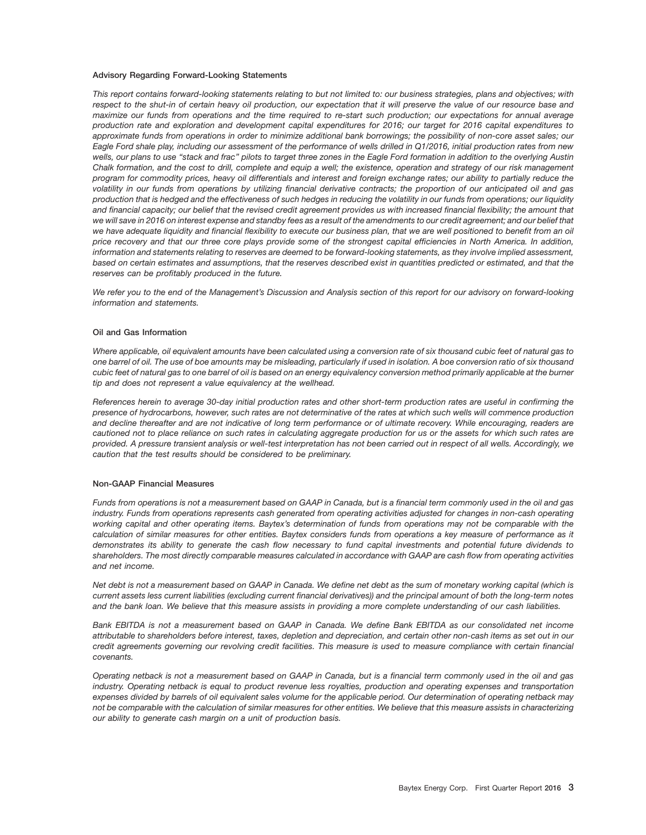#### **Advisory Regarding Forward-Looking Statements**

*This report contains forward-looking statements relating to but not limited to: our business strategies, plans and objectives; with respect to the shut-in of certain heavy oil production, our expectation that it will preserve the value of our resource base and maximize our funds from operations and the time required to re-start such production; our expectations for annual average production rate and exploration and development capital expenditures for 2016; our target for 2016 capital expenditures to approximate funds from operations in order to minimize additional bank borrowings; the possibility of non-core asset sales; our Eagle Ford shale play, including our assessment of the performance of wells drilled in Q1/2016, initial production rates from new wells, our plans to use ''stack and frac'' pilots to target three zones in the Eagle Ford formation in addition to the overlying Austin Chalk formation, and the cost to drill, complete and equip a well; the existence, operation and strategy of our risk management program for commodity prices, heavy oil differentials and interest and foreign exchange rates; our ability to partially reduce the volatility in our funds from operations by utilizing financial derivative contracts; the proportion of our anticipated oil and gas production that is hedged and the effectiveness of such hedges in reducing the volatility in our funds from operations; our liquidity and financial capacity; our belief that the revised credit agreement provides us with increased financial flexibility; the amount that we will save in 2016 on interest expense and standby fees as a result of the amendments to our credit agreement; and our belief that we have adequate liquidity and financial flexibility to execute our business plan, that we are well positioned to benefit from an oil price recovery and that our three core plays provide some of the strongest capital efficiencies in North America. In addition, information and statements relating to reserves are deemed to be forward-looking statements, as they involve implied assessment, based on certain estimates and assumptions, that the reserves described exist in quantities predicted or estimated, and that the reserves can be profitably produced in the future.*

*We refer you to the end of the Management's Discussion and Analysis section of this report for our advisory on forward-looking information and statements.*

#### **Oil and Gas Information**

*Where applicable, oil equivalent amounts have been calculated using a conversion rate of six thousand cubic feet of natural gas to one barrel of oil. The use of boe amounts may be misleading, particularly if used in isolation. A boe conversion ratio of six thousand cubic feet of natural gas to one barrel of oil is based on an energy equivalency conversion method primarily applicable at the burner tip and does not represent a value equivalency at the wellhead.*

*References herein to average 30-day initial production rates and other short-term production rates are useful in confirming the presence of hydrocarbons, however, such rates are not determinative of the rates at which such wells will commence production and decline thereafter and are not indicative of long term performance or of ultimate recovery. While encouraging, readers are cautioned not to place reliance on such rates in calculating aggregate production for us or the assets for which such rates are provided. A pressure transient analysis or well-test interpretation has not been carried out in respect of all wells. Accordingly, we caution that the test results should be considered to be preliminary.*

#### **Non-GAAP Financial Measures**

*Funds from operations is not a measurement based on GAAP in Canada, but is a financial term commonly used in the oil and gas industry. Funds from operations represents cash generated from operating activities adjusted for changes in non-cash operating working capital and other operating items. Baytex's determination of funds from operations may not be comparable with the calculation of similar measures for other entities. Baytex considers funds from operations a key measure of performance as it demonstrates its ability to generate the cash flow necessary to fund capital investments and potential future dividends to shareholders. The most directly comparable measures calculated in accordance with GAAP are cash flow from operating activities and net income.*

*Net debt is not a measurement based on GAAP in Canada. We define net debt as the sum of monetary working capital (which is current assets less current liabilities (excluding current financial derivatives)) and the principal amount of both the long-term notes and the bank loan. We believe that this measure assists in providing a more complete understanding of our cash liabilities.*

*Bank EBITDA is not a measurement based on GAAP in Canada. We define Bank EBITDA as our consolidated net income attributable to shareholders before interest, taxes, depletion and depreciation, and certain other non-cash items as set out in our credit agreements governing our revolving credit facilities. This measure is used to measure compliance with certain financial covenants.*

*Operating netback is not a measurement based on GAAP in Canada, but is a financial term commonly used in the oil and gas industry. Operating netback is equal to product revenue less royalties, production and operating expenses and transportation expenses divided by barrels of oil equivalent sales volume for the applicable period. Our determination of operating netback may not be comparable with the calculation of similar measures for other entities. We believe that this measure assists in characterizing our ability to generate cash margin on a unit of production basis.*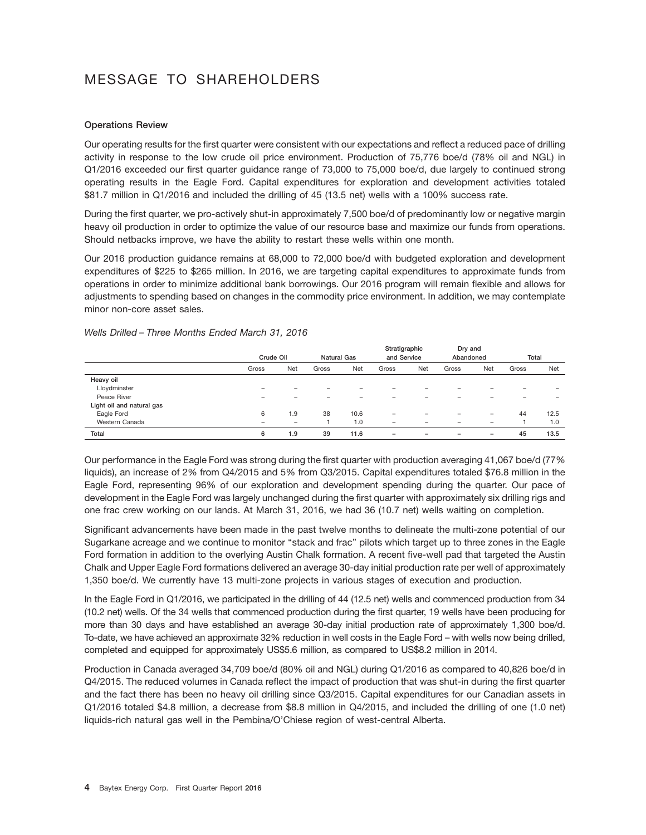# MESSAGE TO SHAREHOLDERS

#### **Operations Review**

Our operating results for the first quarter were consistent with our expectations and reflect a reduced pace of drilling activity in response to the low crude oil price environment. Production of 75,776 boe/d (78% oil and NGL) in Q1/2016 exceeded our first quarter guidance range of 73,000 to 75,000 boe/d, due largely to continued strong operating results in the Eagle Ford. Capital expenditures for exploration and development activities totaled \$81.7 million in Q1/2016 and included the drilling of 45 (13.5 net) wells with a 100% success rate.

During the first quarter, we pro-actively shut-in approximately 7,500 boe/d of predominantly low or negative margin heavy oil production in order to optimize the value of our resource base and maximize our funds from operations. Should netbacks improve, we have the ability to restart these wells within one month.

Our 2016 production guidance remains at 68,000 to 72,000 boe/d with budgeted exploration and development expenditures of \$225 to \$265 million. In 2016, we are targeting capital expenditures to approximate funds from operations in order to minimize additional bank borrowings. Our 2016 program will remain flexible and allows for adjustments to spending based on changes in the commodity price environment. In addition, we may contemplate minor non-core asset sales.

|                           |           |     |             |      | Stratigraphic            |                          | Dry and   |                              |       |      |
|---------------------------|-----------|-----|-------------|------|--------------------------|--------------------------|-----------|------------------------------|-------|------|
|                           | Crude Oil |     | Natural Gas |      | and Service              |                          | Abandoned |                              | Total |      |
|                           | Gross     | Net | Gross       | Net  | Gross                    | Net                      | Gross     | Net                          | Gross | Net  |
| Heavy oil                 |           |     |             |      |                          |                          |           |                              |       |      |
| Lloydminster              |           |     |             |      | $\overline{\phantom{0}}$ |                          | -         | $\overline{\phantom{0}}$     | -     | -    |
| Peace River               |           |     |             |      |                          |                          |           |                              | -     |      |
| Light oil and natural gas |           |     |             |      |                          |                          |           |                              |       |      |
| Eagle Ford                | 6         | 1.9 | 38          | 10.6 |                          |                          |           | $\overline{\phantom{0}}$     | 44    | 12.5 |
| Western Canada            |           | -   |             | 1.0  | $\overline{\phantom{0}}$ |                          |           | $\qquad \qquad \blacksquare$ |       | 1.0  |
| Total                     | 6         | 1.9 | 39          | 11.6 | $\overline{\phantom{0}}$ | $\overline{\phantom{0}}$ | -         | $\qquad \qquad$              | 45    | 13.5 |

#### *Wells Drilled – Three Months Ended March 31, 2016*

Our performance in the Eagle Ford was strong during the first quarter with production averaging 41,067 boe/d (77% liquids), an increase of 2% from Q4/2015 and 5% from Q3/2015. Capital expenditures totaled \$76.8 million in the Eagle Ford, representing 96% of our exploration and development spending during the quarter. Our pace of development in the Eagle Ford was largely unchanged during the first quarter with approximately six drilling rigs and one frac crew working on our lands. At March 31, 2016, we had 36 (10.7 net) wells waiting on completion.

Significant advancements have been made in the past twelve months to delineate the multi-zone potential of our Sugarkane acreage and we continue to monitor ''stack and frac'' pilots which target up to three zones in the Eagle Ford formation in addition to the overlying Austin Chalk formation. A recent five-well pad that targeted the Austin Chalk and Upper Eagle Ford formations delivered an average 30-day initial production rate per well of approximately 1,350 boe/d. We currently have 13 multi-zone projects in various stages of execution and production.

In the Eagle Ford in Q1/2016, we participated in the drilling of 44 (12.5 net) wells and commenced production from 34 (10.2 net) wells. Of the 34 wells that commenced production during the first quarter, 19 wells have been producing for more than 30 days and have established an average 30-day initial production rate of approximately 1,300 boe/d. To-date, we have achieved an approximate 32% reduction in well costs in the Eagle Ford – with wells now being drilled, completed and equipped for approximately US\$5.6 million, as compared to US\$8.2 million in 2014.

Production in Canada averaged 34,709 boe/d (80% oil and NGL) during Q1/2016 as compared to 40,826 boe/d in Q4/2015. The reduced volumes in Canada reflect the impact of production that was shut-in during the first quarter and the fact there has been no heavy oil drilling since Q3/2015. Capital expenditures for our Canadian assets in Q1/2016 totaled \$4.8 million, a decrease from \$8.8 million in Q4/2015, and included the drilling of one (1.0 net) liquids-rich natural gas well in the Pembina/O'Chiese region of west-central Alberta.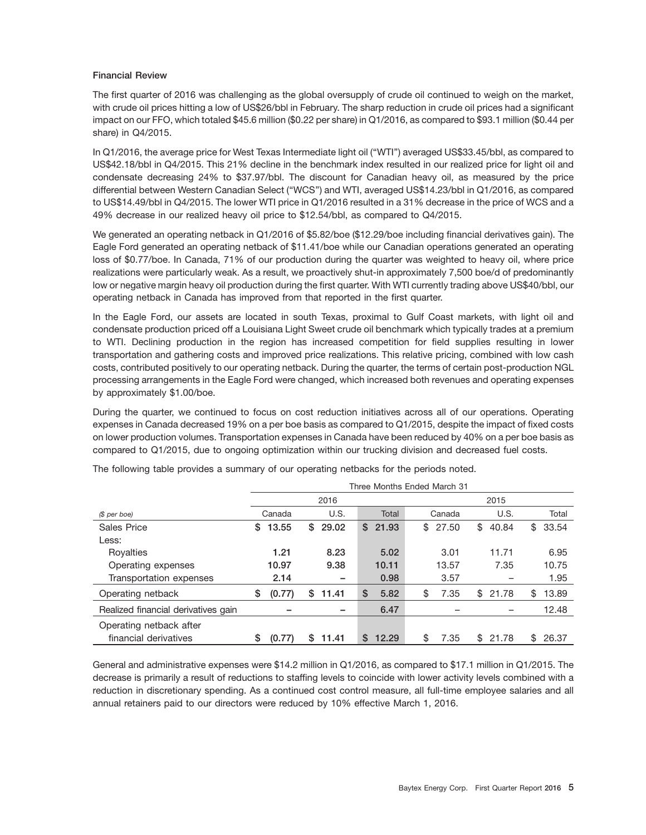#### **Financial Review**

The first quarter of 2016 was challenging as the global oversupply of crude oil continued to weigh on the market, with crude oil prices hitting a low of US\$26/bbl in February. The sharp reduction in crude oil prices had a significant impact on our FFO, which totaled \$45.6 million (\$0.22 per share) in Q1/2016, as compared to \$93.1 million (\$0.44 per share) in Q4/2015.

In Q1/2016, the average price for West Texas Intermediate light oil (''WTI'') averaged US\$33.45/bbl, as compared to US\$42.18/bbl in Q4/2015. This 21% decline in the benchmark index resulted in our realized price for light oil and condensate decreasing 24% to \$37.97/bbl. The discount for Canadian heavy oil, as measured by the price differential between Western Canadian Select (''WCS'') and WTI, averaged US\$14.23/bbl in Q1/2016, as compared to US\$14.49/bbl in Q4/2015. The lower WTI price in Q1/2016 resulted in a 31% decrease in the price of WCS and a 49% decrease in our realized heavy oil price to \$12.54/bbl, as compared to Q4/2015.

We generated an operating netback in Q1/2016 of \$5.82/boe (\$12.29/boe including financial derivatives gain). The Eagle Ford generated an operating netback of \$11.41/boe while our Canadian operations generated an operating loss of \$0.77/boe. In Canada, 71% of our production during the quarter was weighted to heavy oil, where price realizations were particularly weak. As a result, we proactively shut-in approximately 7,500 boe/d of predominantly low or negative margin heavy oil production during the first quarter. With WTI currently trading above US\$40/bbl, our operating netback in Canada has improved from that reported in the first quarter.

In the Eagle Ford, our assets are located in south Texas, proximal to Gulf Coast markets, with light oil and condensate production priced off a Louisiana Light Sweet crude oil benchmark which typically trades at a premium to WTI. Declining production in the region has increased competition for field supplies resulting in lower transportation and gathering costs and improved price realizations. This relative pricing, combined with low cash costs, contributed positively to our operating netback. During the quarter, the terms of certain post-production NGL processing arrangements in the Eagle Ford were changed, which increased both revenues and operating expenses by approximately \$1.00/boe.

During the quarter, we continued to focus on cost reduction initiatives across all of our operations. Operating expenses in Canada decreased 19% on a per boe basis as compared to Q1/2015, despite the impact of fixed costs on lower production volumes. Transportation expenses in Canada have been reduced by 40% on a per boe basis as compared to Q1/2015, due to ongoing optimization within our trucking division and decreased fuel costs.

|                                     | Three Months Ended March 31 |                          |             |             |                       |             |  |
|-------------------------------------|-----------------------------|--------------------------|-------------|-------------|-----------------------|-------------|--|
|                                     |                             | 2016                     |             |             | 2015                  |             |  |
| (\$ per boe)                        | Canada                      | U.S.                     | Total       | Canada      | U.S.                  | Total       |  |
| Sales Price                         | 13.55<br>S.                 | 29.02<br>S.              | S.<br>21.93 | 27.50<br>\$ | 40.84<br>\$           | 33.54<br>\$ |  |
| Less:                               |                             |                          |             |             |                       |             |  |
| Royalties                           | 1.21                        | 8.23                     | 5.02        | 3.01        | 11.71                 | 6.95        |  |
| Operating expenses                  | 10.97                       | 9.38                     | 10.11       | 13.57       | 7.35                  | 10.75       |  |
| Transportation expenses             | 2.14                        | $\overline{\phantom{a}}$ | 0.98        | 3.57        |                       | 1.95        |  |
| Operating netback                   | (0.77)<br>S                 | 11.41<br>S               | \$<br>5.82  | 7.35<br>\$  | 21.78<br>$\mathbb{S}$ | 13.89<br>\$ |  |
| Realized financial derivatives gain |                             |                          | 6.47        |             |                       | 12.48       |  |
| Operating netback after             |                             |                          |             |             |                       |             |  |
| financial derivatives               | (0.77)<br>S                 | S<br>11.41               | S.<br>12.29 | \$<br>7.35  | \$<br>21.78           | \$<br>26.37 |  |

The following table provides a summary of our operating netbacks for the periods noted.

General and administrative expenses were \$14.2 million in Q1/2016, as compared to \$17.1 million in Q1/2015. The decrease is primarily a result of reductions to staffing levels to coincide with lower activity levels combined with a reduction in discretionary spending. As a continued cost control measure, all full-time employee salaries and all annual retainers paid to our directors were reduced by 10% effective March 1, 2016.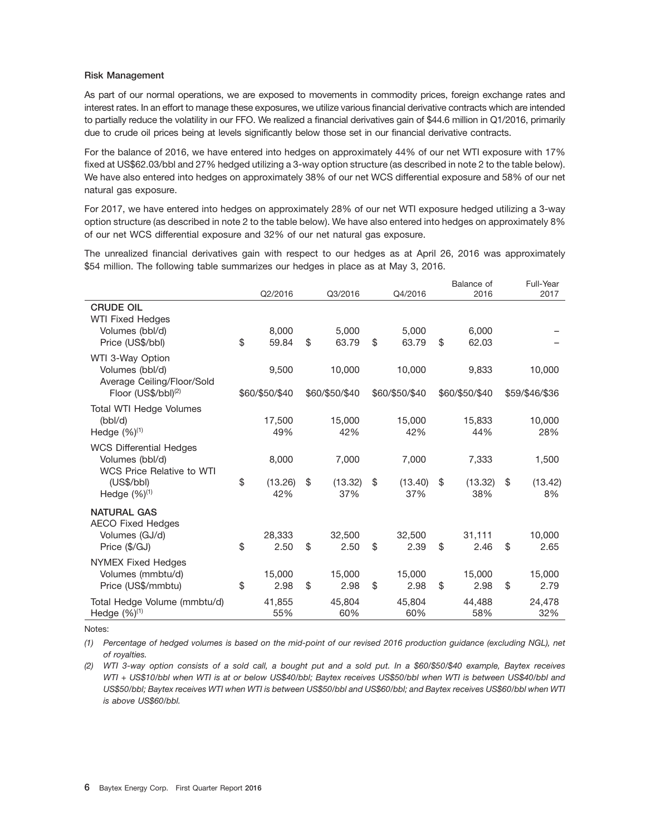#### **Risk Management**

As part of our normal operations, we are exposed to movements in commodity prices, foreign exchange rates and interest rates. In an effort to manage these exposures, we utilize various financial derivative contracts which are intended to partially reduce the volatility in our FFO. We realized a financial derivatives gain of \$44.6 million in Q1/2016, primarily due to crude oil prices being at levels significantly below those set in our financial derivative contracts.

For the balance of 2016, we have entered into hedges on approximately 44% of our net WTI exposure with 17% fixed at US\$62.03/bbl and 27% hedged utilizing a 3-way option structure (as described in note 2 to the table below). We have also entered into hedges on approximately 38% of our net WCS differential exposure and 58% of our net natural gas exposure.

For 2017, we have entered into hedges on approximately 28% of our net WTI exposure hedged utilizing a 3-way option structure (as described in note 2 to the table below). We have also entered into hedges on approximately 8% of our net WCS differential exposure and 32% of our net natural gas exposure.

The unrealized financial derivatives gain with respect to our hedges as at April 26, 2016 was approximately \$54 million. The following table summarizes our hedges in place as at May 3, 2016.

|                                                                                                        |                             |                             |                             | Balance of                  | Full-Year                  |
|--------------------------------------------------------------------------------------------------------|-----------------------------|-----------------------------|-----------------------------|-----------------------------|----------------------------|
|                                                                                                        | Q2/2016                     | Q3/2016                     | Q4/2016                     | 2016                        | 2017                       |
| <b>CRUDE OIL</b><br><b>WTI Fixed Hedges</b><br>Volumes (bbl/d)<br>Price (US\$/bbl)                     | \$<br>8.000<br>59.84        | \$<br>5,000<br>63.79        | \$<br>5.000<br>63.79        | \$<br>6,000<br>62.03        |                            |
| WTI 3-Way Option<br>Volumes (bbl/d)<br>Average Ceiling/Floor/Sold<br>Floor (US\$/bbl) <sup>(2)</sup>   | 9,500<br>\$60/\$50/\$40     | 10,000<br>\$60/\$50/\$40    | 10,000<br>\$60/\$50/\$40    | 9,833<br>\$60/\$50/\$40     | 10,000<br>\$59/\$46/\$36   |
| Total WTI Hedge Volumes<br>(bbl/d)<br>Hedge $(%)^{(1)}$                                                | 17,500<br>49%               | 15,000<br>42%               | 15,000<br>42%               | 15,833<br>44%               | 10,000<br>28%              |
| <b>WCS Differential Hedges</b><br>Volumes (bbl/d)<br><b>WCS Price Relative to WTI</b><br>(US\$/bb)     | \$<br>8,000<br>(13.26)      | \$<br>7,000<br>(13.32)      | \$<br>7,000<br>(13.40)      | \$<br>7,333<br>(13.32)      | \$<br>1,500<br>(13.42)     |
| Hedge $(%)^{(1)}$<br><b>NATURAL GAS</b><br><b>AECO Fixed Hedges</b><br>Volumes (GJ/d)<br>Price (\$/GJ) | \$<br>42%<br>28,333<br>2.50 | \$<br>37%<br>32,500<br>2.50 | \$<br>37%<br>32,500<br>2.39 | \$<br>38%<br>31,111<br>2.46 | \$<br>8%<br>10,000<br>2.65 |
| <b>NYMEX Fixed Hedges</b><br>Volumes (mmbtu/d)<br>Price (US\$/mmbtu)                                   | \$<br>15,000<br>2.98        | \$<br>15,000<br>2.98        | \$<br>15,000<br>2.98        | \$<br>15,000<br>2.98        | \$<br>15,000<br>2.79       |
| Total Hedge Volume (mmbtu/d)<br>Hedge $(%)^{(1)}$                                                      | 41,855<br>55%               | 45,804<br>60%               | 45,804<br>60%               | 44,488<br>58%               | 24,478<br>32%              |

Notes:

*(1) Percentage of hedged volumes is based on the mid-point of our revised 2016 production guidance (excluding NGL), net of royalties.*

*(2) WTI 3-way option consists of a sold call, a bought put and a sold put. In a \$60/\$50/\$40 example, Baytex receives WTI + US\$10/bbl when WTI is at or below US\$40/bbl; Baytex receives US\$50/bbl when WTI is between US\$40/bbl and US\$50/bbl; Baytex receives WTI when WTI is between US\$50/bbl and US\$60/bbl; and Baytex receives US\$60/bbl when WTI is above US\$60/bbl.*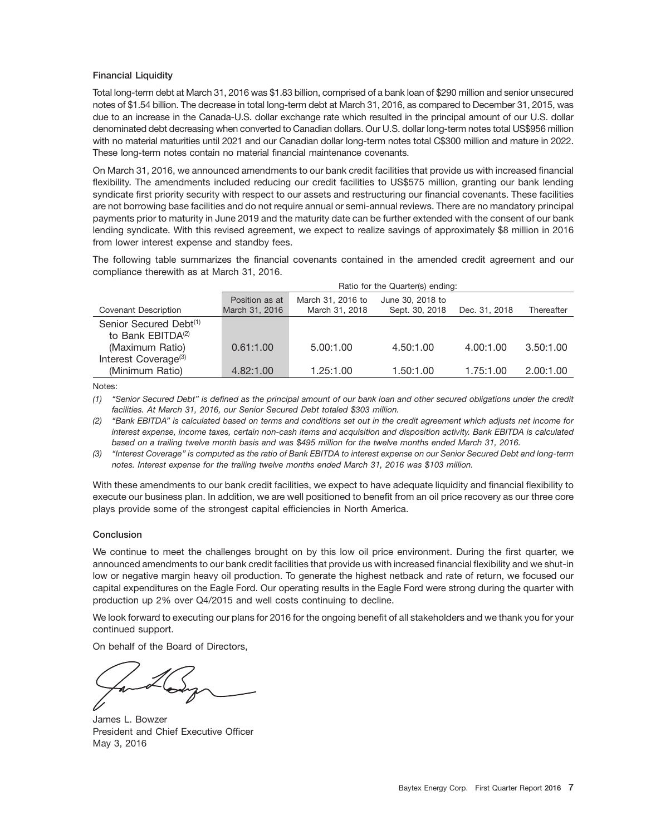#### **Financial Liquidity**

Total long-term debt at March 31, 2016 was \$1.83 billion, comprised of a bank loan of \$290 million and senior unsecured notes of \$1.54 billion. The decrease in total long-term debt at March 31, 2016, as compared to December 31, 2015, was due to an increase in the Canada-U.S. dollar exchange rate which resulted in the principal amount of our U.S. dollar denominated debt decreasing when converted to Canadian dollars. Our U.S. dollar long-term notes total US\$956 million with no material maturities until 2021 and our Canadian dollar long-term notes total C\$300 million and mature in 2022. These long-term notes contain no material financial maintenance covenants.

On March 31, 2016, we announced amendments to our bank credit facilities that provide us with increased financial flexibility. The amendments included reducing our credit facilities to US\$575 million, granting our bank lending syndicate first priority security with respect to our assets and restructuring our financial covenants. These facilities are not borrowing base facilities and do not require annual or semi-annual reviews. There are no mandatory principal payments prior to maturity in June 2019 and the maturity date can be further extended with the consent of our bank lending syndicate. With this revised agreement, we expect to realize savings of approximately \$8 million in 2016 from lower interest expense and standby fees.

The following table summarizes the financial covenants contained in the amended credit agreement and our compliance therewith as at March 31, 2016.

|                                                                     |                | Ratio for the Quarter(s) ending: |                  |               |            |  |  |  |
|---------------------------------------------------------------------|----------------|----------------------------------|------------------|---------------|------------|--|--|--|
|                                                                     | Position as at | March 31, 2016 to                | June 30, 2018 to |               |            |  |  |  |
| Covenant Description                                                | March 31, 2016 | March 31, 2018                   | Sept. 30, 2018   | Dec. 31, 2018 | Thereafter |  |  |  |
| Senior Secured Debt <sup>(1)</sup><br>to Bank EBITDA <sup>(2)</sup> |                |                                  |                  |               |            |  |  |  |
| (Maximum Ratio)                                                     | 0.61:1.00      | 5.00:1.00                        | 4.50:1.00        | 4.00:1.00     | 3.50:1.00  |  |  |  |
| Interest Coverage <sup>(3)</sup>                                    |                |                                  |                  |               |            |  |  |  |
| (Minimum Ratio)                                                     | 4.82:1.00      | 1.25:1.00                        | 1.50:1.00        | 1.75:1.00     | 2.00:1.00  |  |  |  |
|                                                                     |                |                                  |                  |               |            |  |  |  |

Notes:

*(1) ''Senior Secured Debt'' is defined as the principal amount of our bank loan and other secured obligations under the credit facilities. At March 31, 2016, our Senior Secured Debt totaled \$303 million.*

*(2) ''Bank EBITDA'' is calculated based on terms and conditions set out in the credit agreement which adjusts net income for interest expense, income taxes, certain non-cash items and acquisition and disposition activity. Bank EBITDA is calculated based on a trailing twelve month basis and was \$495 million for the twelve months ended March 31, 2016.*

*(3) ''Interest Coverage'' is computed as the ratio of Bank EBITDA to interest expense on our Senior Secured Debt and long-term notes. Interest expense for the trailing twelve months ended March 31, 2016 was \$103 million.*

With these amendments to our bank credit facilities, we expect to have adequate liquidity and financial flexibility to execute our business plan. In addition, we are well positioned to benefit from an oil price recovery as our three core plays provide some of the strongest capital efficiencies in North America.

#### **Conclusion**

We continue to meet the challenges brought on by this low oil price environment. During the first quarter, we announced amendments to our bank credit facilities that provide us with increased financial flexibility and we shut-in low or negative margin heavy oil production. To generate the highest netback and rate of return, we focused our capital expenditures on the Eagle Ford. Our operating results in the Eagle Ford were strong during the quarter with production up 2% over Q4/2015 and well costs continuing to decline.

We look forward to executing our plans for 2016 for the ongoing benefit of all stakeholders and we thank you for your continued support.

On behalf of the Board of Directors,

James L. Bowzer President and Chief Executive Officer May 3, 2016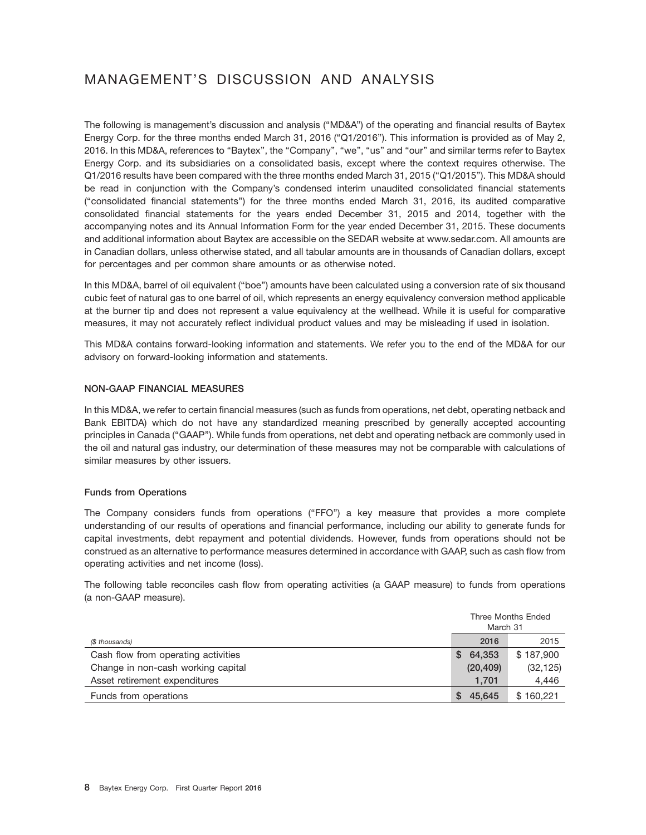# MANAGEMENT'S DISCUSSION AND ANALYSIS

The following is management's discussion and analysis (''MD&A'') of the operating and financial results of Baytex Energy Corp. for the three months ended March 31, 2016 ("Q1/2016"). This information is provided as of May 2, 2016. In this MD&A, references to "Baytex", the "Company", "we", "us" and "our" and similar terms refer to Baytex Energy Corp. and its subsidiaries on a consolidated basis, except where the context requires otherwise. The Q1/2016 results have been compared with the three months ended March 31, 2015 (''Q1/2015''). This MD&A should be read in conjunction with the Company's condensed interim unaudited consolidated financial statements (''consolidated financial statements'') for the three months ended March 31, 2016, its audited comparative consolidated financial statements for the years ended December 31, 2015 and 2014, together with the accompanying notes and its Annual Information Form for the year ended December 31, 2015. These documents and additional information about Baytex are accessible on the SEDAR website at www.sedar.com. All amounts are in Canadian dollars, unless otherwise stated, and all tabular amounts are in thousands of Canadian dollars, except for percentages and per common share amounts or as otherwise noted.

In this MD&A, barrel of oil equivalent (''boe'') amounts have been calculated using a conversion rate of six thousand cubic feet of natural gas to one barrel of oil, which represents an energy equivalency conversion method applicable at the burner tip and does not represent a value equivalency at the wellhead. While it is useful for comparative measures, it may not accurately reflect individual product values and may be misleading if used in isolation.

This MD&A contains forward-looking information and statements. We refer you to the end of the MD&A for our advisory on forward-looking information and statements.

#### **NON-GAAP FINANCIAL MEASURES**

In this MD&A, we refer to certain financial measures (such as funds from operations, net debt, operating netback and Bank EBITDA) which do not have any standardized meaning prescribed by generally accepted accounting principles in Canada (''GAAP''). While funds from operations, net debt and operating netback are commonly used in the oil and natural gas industry, our determination of these measures may not be comparable with calculations of similar measures by other issuers.

#### **Funds from Operations**

The Company considers funds from operations ("FFO") a key measure that provides a more complete understanding of our results of operations and financial performance, including our ability to generate funds for capital investments, debt repayment and potential dividends. However, funds from operations should not be construed as an alternative to performance measures determined in accordance with GAAP, such as cash flow from operating activities and net income (loss).

The following table reconciles cash flow from operating activities (a GAAP measure) to funds from operations (a non-GAAP measure).

|                                     | Three Months Ended<br>March 31 |           |  |
|-------------------------------------|--------------------------------|-----------|--|
| (\$ thousands)                      | 2016                           | 2015      |  |
| Cash flow from operating activities | 64.353<br>S.                   | \$187,900 |  |
| Change in non-cash working capital  | (20, 409)                      | (32, 125) |  |
| Asset retirement expenditures       | 1.701                          | 4,446     |  |
| Funds from operations               | 45,645<br>S.                   | \$160,221 |  |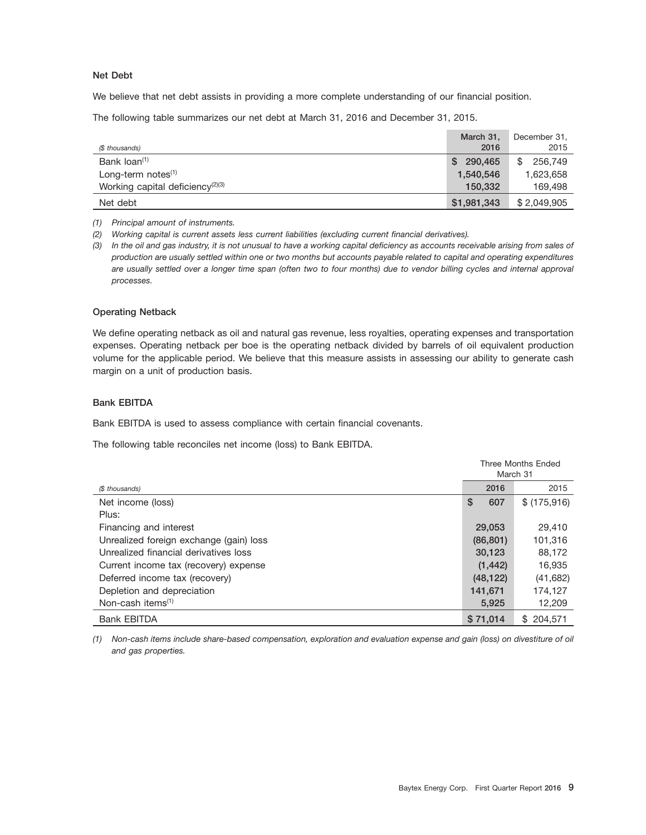#### **Net Debt**

We believe that net debt assists in providing a more complete understanding of our financial position.

The following table summarizes our net debt at March 31, 2016 and December 31, 2015.

| (\$ thousands)                               | March 31,<br>2016       | December 31.<br>2015 |
|----------------------------------------------|-------------------------|----------------------|
| Bank loan <sup>(1)</sup>                     | 290,465<br>$\mathbb{S}$ | \$<br>256.749        |
| Long-term notes $(1)$                        | 1,540,546               | 1,623,658            |
| Working capital deficiency <sup>(2)(3)</sup> | 150,332                 | 169,498              |
| Net debt                                     | \$1,981,343             | \$2,049,905          |

*(1) Principal amount of instruments.*

*(2) Working capital is current assets less current liabilities (excluding current financial derivatives).*

*(3) In the oil and gas industry, it is not unusual to have a working capital deficiency as accounts receivable arising from sales of production are usually settled within one or two months but accounts payable related to capital and operating expenditures are usually settled over a longer time span (often two to four months) due to vendor billing cycles and internal approval processes.*

#### **Operating Netback**

We define operating netback as oil and natural gas revenue, less royalties, operating expenses and transportation expenses. Operating netback per boe is the operating netback divided by barrels of oil equivalent production volume for the applicable period. We believe that this measure assists in assessing our ability to generate cash margin on a unit of production basis.

#### **Bank EBITDA**

Bank EBITDA is used to assess compliance with certain financial covenants.

The following table reconciles net income (loss) to Bank EBITDA.

|                                         | Three Months Ended<br>March 31 |              |
|-----------------------------------------|--------------------------------|--------------|
| (\$ thousands)                          | 2016                           | 2015         |
| Net income (loss)                       | \$<br>607                      | \$ (175,916) |
| Plus:                                   |                                |              |
| Financing and interest                  | 29,053                         | 29,410       |
| Unrealized foreign exchange (gain) loss | (86, 801)                      | 101,316      |
| Unrealized financial derivatives loss   | 30,123                         | 88,172       |
| Current income tax (recovery) expense   | (1, 442)                       | 16,935       |
| Deferred income tax (recovery)          | (48, 122)                      | (41, 682)    |
| Depletion and depreciation              | 141,671                        | 174,127      |
| Non-cash items <sup>(1)</sup>           | 5.925                          | 12,209       |
| <b>Bank EBITDA</b>                      | \$71.014                       | \$204.571    |

*(1) Non-cash items include share-based compensation, exploration and evaluation expense and gain (loss) on divestiture of oil and gas properties.*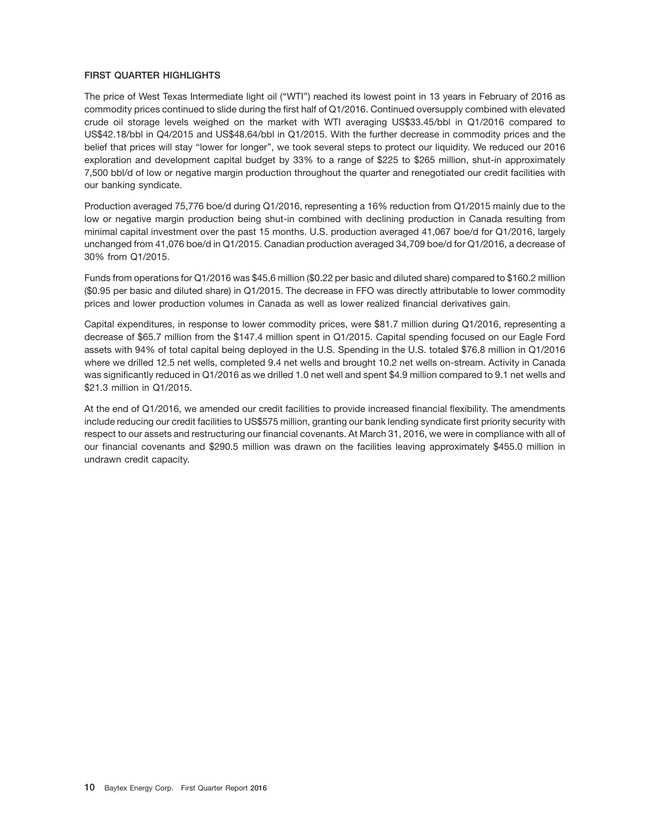#### **FIRST QUARTER HIGHLIGHTS**

The price of West Texas Intermediate light oil (''WTI'') reached its lowest point in 13 years in February of 2016 as commodity prices continued to slide during the first half of Q1/2016. Continued oversupply combined with elevated crude oil storage levels weighed on the market with WTI averaging US\$33.45/bbl in Q1/2016 compared to US\$42.18/bbl in Q4/2015 and US\$48.64/bbl in Q1/2015. With the further decrease in commodity prices and the belief that prices will stay ''lower for longer'', we took several steps to protect our liquidity. We reduced our 2016 exploration and development capital budget by 33% to a range of \$225 to \$265 million, shut-in approximately 7,500 bbl/d of low or negative margin production throughout the quarter and renegotiated our credit facilities with our banking syndicate.

Production averaged 75,776 boe/d during Q1/2016, representing a 16% reduction from Q1/2015 mainly due to the low or negative margin production being shut-in combined with declining production in Canada resulting from minimal capital investment over the past 15 months. U.S. production averaged 41,067 boe/d for Q1/2016, largely unchanged from 41,076 boe/d in Q1/2015. Canadian production averaged 34,709 boe/d for Q1/2016, a decrease of 30% from Q1/2015.

Funds from operations for Q1/2016 was \$45.6 million (\$0.22 per basic and diluted share) compared to \$160.2 million (\$0.95 per basic and diluted share) in Q1/2015. The decrease in FFO was directly attributable to lower commodity prices and lower production volumes in Canada as well as lower realized financial derivatives gain.

Capital expenditures, in response to lower commodity prices, were \$81.7 million during Q1/2016, representing a decrease of \$65.7 million from the \$147.4 million spent in Q1/2015. Capital spending focused on our Eagle Ford assets with 94% of total capital being deployed in the U.S. Spending in the U.S. totaled \$76.8 million in Q1/2016 where we drilled 12.5 net wells, completed 9.4 net wells and brought 10.2 net wells on-stream. Activity in Canada was significantly reduced in Q1/2016 as we drilled 1.0 net well and spent \$4.9 million compared to 9.1 net wells and \$21.3 million in Q1/2015.

At the end of Q1/2016, we amended our credit facilities to provide increased financial flexibility. The amendments include reducing our credit facilities to US\$575 million, granting our bank lending syndicate first priority security with respect to our assets and restructuring our financial covenants. At March 31, 2016, we were in compliance with all of our financial covenants and \$290.5 million was drawn on the facilities leaving approximately \$455.0 million in undrawn credit capacity.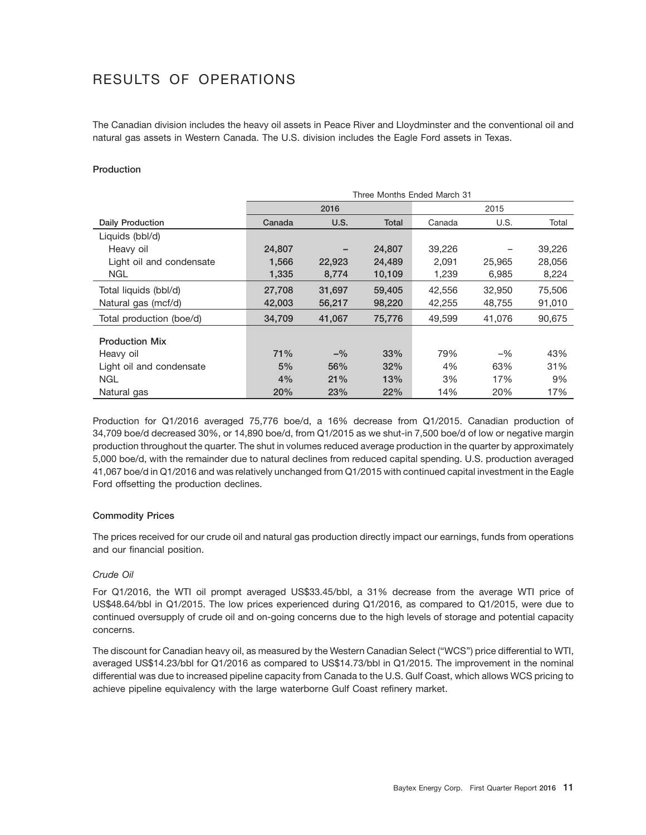# RESULTS OF OPERATIONS

The Canadian division includes the heavy oil assets in Peace River and Lloydminster and the conventional oil and natural gas assets in Western Canada. The U.S. division includes the Eagle Ford assets in Texas.

#### **Production**

|                          | Three Months Ended March 31 |        |        |        |        |        |  |  |
|--------------------------|-----------------------------|--------|--------|--------|--------|--------|--|--|
|                          |                             | 2016   |        |        | 2015   |        |  |  |
| <b>Daily Production</b>  | Canada                      | U.S.   | Total  | Canada | U.S.   | Total  |  |  |
| Liquids (bbl/d)          |                             |        |        |        |        |        |  |  |
| Heavy oil                | 24,807                      | -      | 24,807 | 39,226 |        | 39,226 |  |  |
| Light oil and condensate | 1,566                       | 22,923 | 24,489 | 2,091  | 25,965 | 28,056 |  |  |
| <b>NGL</b>               | 1,335                       | 8,774  | 10,109 | 1,239  | 6,985  | 8,224  |  |  |
| Total liquids (bbl/d)    | 27,708                      | 31,697 | 59,405 | 42,556 | 32,950 | 75,506 |  |  |
| Natural gas (mcf/d)      | 42,003                      | 56,217 | 98,220 | 42,255 | 48,755 | 91,010 |  |  |
| Total production (boe/d) | 34,709                      | 41,067 | 75,776 | 49,599 | 41,076 | 90,675 |  |  |
| <b>Production Mix</b>    |                             |        |        |        |        |        |  |  |
| Heavy oil                | 71%                         | $-$ %  | 33%    | 79%    | $-$ %  | 43%    |  |  |
| Light oil and condensate | 5%                          | 56%    | 32%    | 4%     | 63%    | 31%    |  |  |
| <b>NGL</b>               | 4%                          | 21%    | 13%    | 3%     | 17%    | 9%     |  |  |
| Natural gas              | 20%                         | 23%    | 22%    | 14%    | 20%    | 17%    |  |  |

Production for Q1/2016 averaged 75,776 boe/d, a 16% decrease from Q1/2015. Canadian production of 34,709 boe/d decreased 30%, or 14,890 boe/d, from Q1/2015 as we shut-in 7,500 boe/d of low or negative margin production throughout the quarter. The shut in volumes reduced average production in the quarter by approximately 5,000 boe/d, with the remainder due to natural declines from reduced capital spending. U.S. production averaged 41,067 boe/d in Q1/2016 and was relatively unchanged from Q1/2015 with continued capital investment in the Eagle Ford offsetting the production declines.

### **Commodity Prices**

The prices received for our crude oil and natural gas production directly impact our earnings, funds from operations and our financial position.

### *Crude Oil*

For Q1/2016, the WTI oil prompt averaged US\$33.45/bbl, a 31% decrease from the average WTI price of US\$48.64/bbl in Q1/2015. The low prices experienced during Q1/2016, as compared to Q1/2015, were due to continued oversupply of crude oil and on-going concerns due to the high levels of storage and potential capacity concerns.

The discount for Canadian heavy oil, as measured by the Western Canadian Select (''WCS'') price differential to WTI, averaged US\$14.23/bbl for Q1/2016 as compared to US\$14.73/bbl in Q1/2015. The improvement in the nominal differential was due to increased pipeline capacity from Canada to the U.S. Gulf Coast, which allows WCS pricing to achieve pipeline equivalency with the large waterborne Gulf Coast refinery market.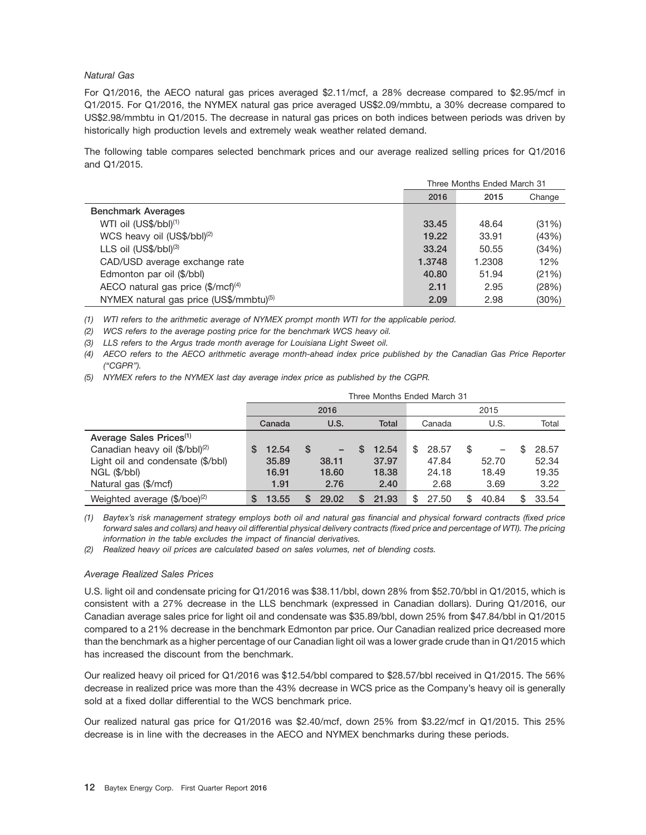### *Natural Gas*

For Q1/2016, the AECO natural gas prices averaged \$2.11/mcf, a 28% decrease compared to \$2.95/mcf in Q1/2015. For Q1/2016, the NYMEX natural gas price averaged US\$2.09/mmbtu, a 30% decrease compared to US\$2.98/mmbtu in Q1/2015. The decrease in natural gas prices on both indices between periods was driven by historically high production levels and extremely weak weather related demand.

The following table compares selected benchmark prices and our average realized selling prices for Q1/2016 and Q1/2015.

|                                                      | Three Months Ended March 31 |        |        |  |
|------------------------------------------------------|-----------------------------|--------|--------|--|
|                                                      | 2016                        | 2015   | Change |  |
| <b>Benchmark Averages</b>                            |                             |        |        |  |
| WTI oil (US\$/bbl) <sup>(1)</sup>                    | 33.45                       | 48.64  | (31%)  |  |
| WCS heavy oil (US\$/bbl) <sup>(2)</sup>              | 19.22                       | 33.91  | (43%)  |  |
| LLS oil (US\$/bbl) <sup>(3)</sup>                    | 33.24                       | 50.55  | (34%)  |  |
| CAD/USD average exchange rate                        | 1.3748                      | 1.2308 | 12%    |  |
| Edmonton par oil (\$/bbl)                            | 40.80                       | 51.94  | (21%)  |  |
| AECO natural gas price $(\frac{4}{2})$ mcf $)^{(4)}$ | 2.11                        | 2.95   | (28%)  |  |
| NYMEX natural gas price (US\$/mmbtu)(5)              | 2.09                        | 2.98   | (30%)  |  |

*(1) WTI refers to the arithmetic average of NYMEX prompt month WTI for the applicable period.*

*(2) WCS refers to the average posting price for the benchmark WCS heavy oil.*

*(3) LLS refers to the Argus trade month average for Louisiana Light Sweet oil.*

*(4) AECO refers to the AECO arithmetic average month-ahead index price published by the Canadian Gas Price Reporter (''CGPR'').*

*(5) NYMEX refers to the NYMEX last day average index price as published by the CGPR.*

|                                                 | Three Months Ended March 31 |            |              |             |              |             |  |  |  |
|-------------------------------------------------|-----------------------------|------------|--------------|-------------|--------------|-------------|--|--|--|
|                                                 |                             | 2016       |              |             | 2015         |             |  |  |  |
|                                                 | Canada                      | U.S.       | <b>Total</b> | Canada      | U.S.         | Total       |  |  |  |
| Average Sales Prices <sup>(1)</sup>             |                             |            |              |             |              |             |  |  |  |
| Canadian heavy oil (\$/bbl) <sup>(2)</sup>      | S.<br>12.54                 | S<br>-     | 12.54        | 28.57<br>S  | S<br>-       | 28.57       |  |  |  |
| Light oil and condensate (\$/bbl)               | 35.89                       | 38.11      | 37.97        | 47.84       | 52.70        | 52.34       |  |  |  |
| NGL (\$/bbl)                                    | 16.91                       | 18.60      | 18.38        | 24.18       | 18.49        | 19.35       |  |  |  |
| Natural gas (\$/mcf)                            | 1.91                        | 2.76       | 2.40         | 2.68        | 3.69         | 3.22        |  |  |  |
| Weighted average $(\frac{6}{\rho}\rho e)^{(2)}$ | 13.55<br>S                  | 29.02<br>S | 21.93        | 27.50<br>\$ | 40.84<br>\$. | 33.54<br>\$ |  |  |  |

*(1) Baytex's risk management strategy employs both oil and natural gas financial and physical forward contracts (fixed price forward sales and collars) and heavy oil differential physical delivery contracts (fixed price and percentage of WTI). The pricing information in the table excludes the impact of financial derivatives.*

*(2) Realized heavy oil prices are calculated based on sales volumes, net of blending costs.*

#### *Average Realized Sales Prices*

U.S. light oil and condensate pricing for Q1/2016 was \$38.11/bbl, down 28% from \$52.70/bbl in Q1/2015, which is consistent with a 27% decrease in the LLS benchmark (expressed in Canadian dollars). During Q1/2016, our Canadian average sales price for light oil and condensate was \$35.89/bbl, down 25% from \$47.84/bbl in Q1/2015 compared to a 21% decrease in the benchmark Edmonton par price. Our Canadian realized price decreased more than the benchmark as a higher percentage of our Canadian light oil was a lower grade crude than in Q1/2015 which has increased the discount from the benchmark.

Our realized heavy oil priced for Q1/2016 was \$12.54/bbl compared to \$28.57/bbl received in Q1/2015. The 56% decrease in realized price was more than the 43% decrease in WCS price as the Company's heavy oil is generally sold at a fixed dollar differential to the WCS benchmark price.

Our realized natural gas price for Q1/2016 was \$2.40/mcf, down 25% from \$3.22/mcf in Q1/2015. This 25% decrease is in line with the decreases in the AECO and NYMEX benchmarks during these periods.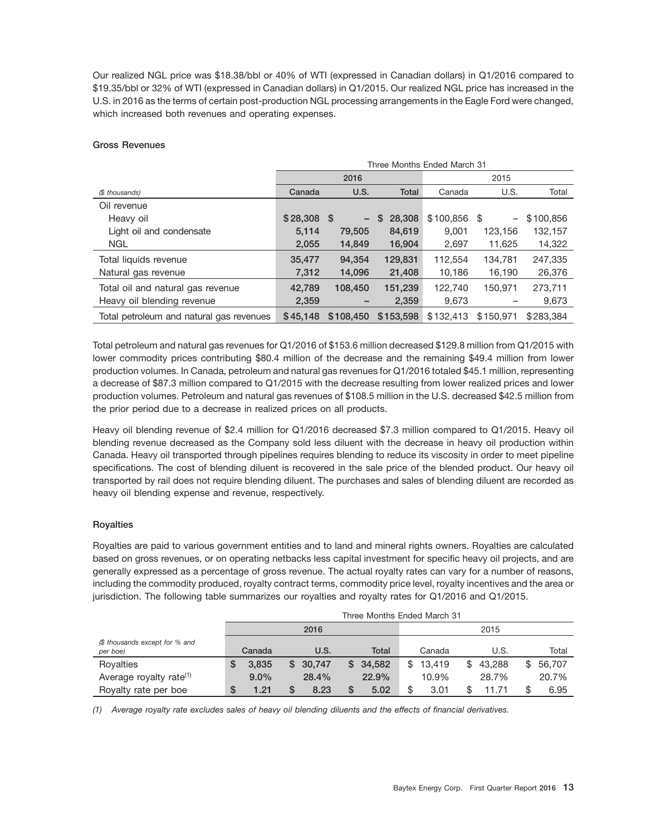Our realized NGL price was \$18.38/bbl or 40% of WTI (expressed in Canadian dollars) in Q1/2016 compared to \$19.35/bbl or 32% of WTI (expressed in Canadian dollars) in Q1/2015. Our realized NGL price has increased in the U.S. in 2016 as the terms of certain post-production NGL processing arrangements in the Eagle Ford were changed, which increased both revenues and operating expenses.

#### **Gross Revenues**

|                                          | Three Months Ended March 31 |           |              |               |                          |           |  |  |  |  |
|------------------------------------------|-----------------------------|-----------|--------------|---------------|--------------------------|-----------|--|--|--|--|
|                                          |                             | 2016      |              | 2015          |                          |           |  |  |  |  |
| (\$ thousands)                           | Canada                      | U.S.      | Total        | Canada        | U.S.                     | Total     |  |  |  |  |
| Oil revenue                              |                             |           |              |               |                          |           |  |  |  |  |
| Heavy oil                                | $$28,308$ \$                | -         | S.<br>28,308 | $$100.856$ \$ | $\overline{\phantom{0}}$ | \$100.856 |  |  |  |  |
| Light oil and condensate                 | 5,114                       | 79,505    | 84,619       | 9,001         | 123,156                  | 132,157   |  |  |  |  |
| <b>NGL</b>                               | 2,055                       | 14,849    | 16,904       | 2,697         | 11,625                   | 14,322    |  |  |  |  |
| Total liquids revenue                    | 35,477                      | 94.354    | 129.831      | 112.554       | 134.781                  | 247.335   |  |  |  |  |
| Natural gas revenue                      | 7,312                       | 14,096    | 21,408       | 10.186        | 16,190                   | 26,376    |  |  |  |  |
| Total oil and natural gas revenue        | 42.789                      | 108,450   | 151.239      | 122.740       | 150.971                  | 273.711   |  |  |  |  |
| Heavy oil blending revenue               | 2,359                       |           | 2,359        | 9,673         |                          | 9,673     |  |  |  |  |
| Total petroleum and natural gas revenues | \$45.148                    | \$108,450 | \$153,598    | \$132,413     | \$150,971                | \$283.384 |  |  |  |  |

Total petroleum and natural gas revenues for Q1/2016 of \$153.6 million decreased \$129.8 million from Q1/2015 with lower commodity prices contributing \$80.4 million of the decrease and the remaining \$49.4 million from lower production volumes. In Canada, petroleum and natural gas revenues for Q1/2016 totaled \$45.1 million, representing a decrease of \$87.3 million compared to Q1/2015 with the decrease resulting from lower realized prices and lower production volumes. Petroleum and natural gas revenues of \$108.5 million in the U.S. decreased \$42.5 million from the prior period due to a decrease in realized prices on all products.

Heavy oil blending revenue of \$2.4 million for Q1/2016 decreased \$7.3 million compared to Q1/2015. Heavy oil blending revenue decreased as the Company sold less diluent with the decrease in heavy oil production within Canada. Heavy oil transported through pipelines requires blending to reduce its viscosity in order to meet pipeline specifications. The cost of blending diluent is recovered in the sale price of the blended product. Our heavy oil transported by rail does not require blending diluent. The purchases and sales of blending diluent are recorded as heavy oil blending expense and revenue, respectively.

### **Royalties**

Royalties are paid to various government entities and to land and mineral rights owners. Royalties are calculated based on gross revenues, or on operating netbacks less capital investment for specific heavy oil projects, and are generally expressed as a percentage of gross revenue. The actual royalty rates can vary for a number of reasons, including the commodity produced, royalty contract terms, commodity price level, royalty incentives and the area or jurisdiction. The following table summarizes our royalties and royalty rates for Q1/2016 and Q1/2015.

|                                            |      | Three Months Ended March 31 |  |          |   |          |    |        |     |        |    |        |
|--------------------------------------------|------|-----------------------------|--|----------|---|----------|----|--------|-----|--------|----|--------|
|                                            | 2016 |                             |  |          |   |          |    |        |     | 2015   |    |        |
| (\$ thousands except for % and<br>per boe) |      | Canada                      |  | U.S.     |   | Total    |    | Canada |     | U.S.   |    | Total  |
| Royalties                                  |      | 3.835                       |  | \$30.747 |   | \$34,582 | \$ | 13.419 | \$. | 43.288 | \$ | 56,707 |
| Average royalty rate <sup>(1)</sup>        |      | $9.0\%$                     |  | 28.4%    |   | 22.9%    |    | 10.9%  |     | 28.7%  |    | 20.7%  |
| Royalty rate per boe                       | S    | 1.21                        |  | 8.23     | S | 5.02     |    | 3.01   |     | 11.71  |    | 6.95   |

*(1) Average royalty rate excludes sales of heavy oil blending diluents and the effects of financial derivatives.*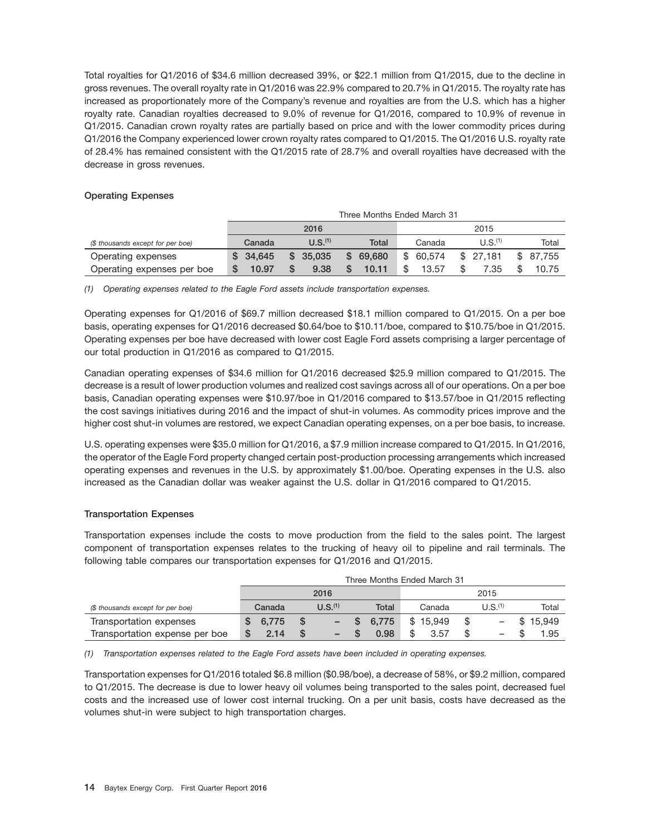Total royalties for Q1/2016 of \$34.6 million decreased 39%, or \$22.1 million from Q1/2015, due to the decline in gross revenues. The overall royalty rate in Q1/2016 was 22.9% compared to 20.7% in Q1/2015. The royalty rate has increased as proportionately more of the Company's revenue and royalties are from the U.S. which has a higher royalty rate. Canadian royalties decreased to 9.0% of revenue for Q1/2016, compared to 10.9% of revenue in Q1/2015. Canadian crown royalty rates are partially based on price and with the lower commodity prices during Q1/2016 the Company experienced lower crown royalty rates compared to Q1/2015. The Q1/2016 U.S. royalty rate of 28.4% has remained consistent with the Q1/2015 rate of 28.7% and overall royalties have decreased with the decrease in gross revenues.

#### **Operating Expenses**

|                                   | Three Months Ended March 31 |                     |              |              |          |           |  |  |  |  |  |
|-----------------------------------|-----------------------------|---------------------|--------------|--------------|----------|-----------|--|--|--|--|--|
|                                   |                             | 2016                |              |              | 2015     |           |  |  |  |  |  |
| (\$ thousands except for per boe) | Canada                      | U.S. <sup>(1)</sup> | Total        | Canada       | U.S.(1)  | Total     |  |  |  |  |  |
| Operating expenses                | \$34.645                    | \$35.035            | 69.680<br>S. | 60.574<br>S. | \$27.181 | \$ 87.755 |  |  |  |  |  |
| Operating expenses per boe        | 10.97                       | \$<br>9.38          | 10.11        | 13.57        | 7.35     | 10.75     |  |  |  |  |  |

*(1) Operating expenses related to the Eagle Ford assets include transportation expenses.*

Operating expenses for Q1/2016 of \$69.7 million decreased \$18.1 million compared to Q1/2015. On a per boe basis, operating expenses for Q1/2016 decreased \$0.64/boe to \$10.11/boe, compared to \$10.75/boe in Q1/2015. Operating expenses per boe have decreased with lower cost Eagle Ford assets comprising a larger percentage of our total production in Q1/2016 as compared to Q1/2015.

Canadian operating expenses of \$34.6 million for Q1/2016 decreased \$25.9 million compared to Q1/2015. The decrease is a result of lower production volumes and realized cost savings across all of our operations. On a per boe basis, Canadian operating expenses were \$10.97/boe in Q1/2016 compared to \$13.57/boe in Q1/2015 reflecting the cost savings initiatives during 2016 and the impact of shut-in volumes. As commodity prices improve and the higher cost shut-in volumes are restored, we expect Canadian operating expenses, on a per boe basis, to increase.

U.S. operating expenses were \$35.0 million for Q1/2016, a \$7.9 million increase compared to Q1/2015. In Q1/2016, the operator of the Eagle Ford property changed certain post-production processing arrangements which increased operating expenses and revenues in the U.S. by approximately \$1.00/boe. Operating expenses in the U.S. also increased as the Canadian dollar was weaker against the U.S. dollar in Q1/2016 compared to Q1/2015.

### **Transportation Expenses**

Transportation expenses include the costs to move production from the field to the sales point. The largest component of transportation expenses relates to the trucking of heavy oil to pipeline and rail terminals. The following table compares our transportation expenses for Q1/2016 and Q1/2015.

|                                   | Three Months Ended March 31 |  |                     |  |       |          |  |                          |  |          |
|-----------------------------------|-----------------------------|--|---------------------|--|-------|----------|--|--------------------------|--|----------|
|                                   |                             |  | 2016                |  |       |          |  | 2015                     |  |          |
| (\$ thousands except for per boe) | Canada                      |  | U.S. <sup>(1)</sup> |  | Total | Canada   |  | U.S. <sup>(1)</sup>      |  | Total    |
| Transportation expenses           | 6.775                       |  |                     |  | 6.775 | \$15.949 |  |                          |  | \$15.949 |
| Transportation expense per boe    | 2.14                        |  | -                   |  | 0.98  | 3.57     |  | $\overline{\phantom{0}}$ |  | 1.95     |

*(1) Transportation expenses related to the Eagle Ford assets have been included in operating expenses.*

Transportation expenses for Q1/2016 totaled \$6.8 million (\$0.98/boe), a decrease of 58%, or \$9.2 million, compared to Q1/2015. The decrease is due to lower heavy oil volumes being transported to the sales point, decreased fuel costs and the increased use of lower cost internal trucking. On a per unit basis, costs have decreased as the volumes shut-in were subject to high transportation charges.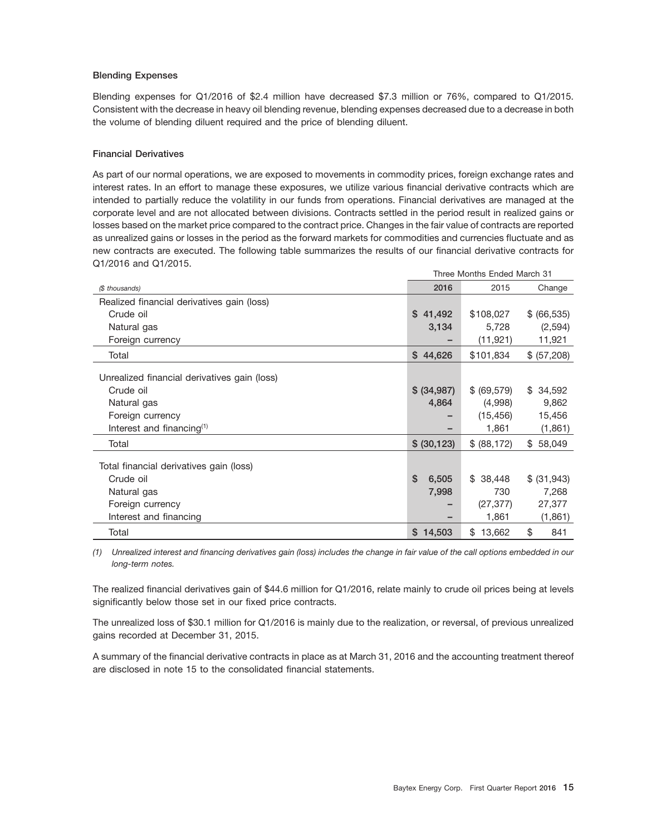#### **Blending Expenses**

Blending expenses for Q1/2016 of \$2.4 million have decreased \$7.3 million or 76%, compared to Q1/2015. Consistent with the decrease in heavy oil blending revenue, blending expenses decreased due to a decrease in both the volume of blending diluent required and the price of blending diluent.

#### **Financial Derivatives**

As part of our normal operations, we are exposed to movements in commodity prices, foreign exchange rates and interest rates. In an effort to manage these exposures, we utilize various financial derivative contracts which are intended to partially reduce the volatility in our funds from operations. Financial derivatives are managed at the corporate level and are not allocated between divisions. Contracts settled in the period result in realized gains or losses based on the market price compared to the contract price. Changes in the fair value of contracts are reported as unrealized gains or losses in the period as the forward markets for commodities and currencies fluctuate and as new contracts are executed. The following table summarizes the results of our financial derivative contracts for Q1/2016 and Q1/2015.

|                                              | Three Months Ended March 31 |              |              |  |  |
|----------------------------------------------|-----------------------------|--------------|--------------|--|--|
| (\$ thousands)                               | 2016                        | 2015         | Change       |  |  |
| Realized financial derivatives gain (loss)   |                             |              |              |  |  |
| Crude oil                                    | \$41,492                    | \$108,027    | \$ (66, 535) |  |  |
| Natural gas                                  | 3,134                       | 5,728        | (2,594)      |  |  |
| Foreign currency                             |                             | (11, 921)    | 11,921       |  |  |
| Total                                        | \$44,626                    | \$101,834    | \$ (57,208)  |  |  |
| Unrealized financial derivatives gain (loss) |                             |              |              |  |  |
| Crude oil                                    | \$ (34,987)                 | \$ (69, 579) | \$34,592     |  |  |
| Natural gas                                  | 4,864                       | (4,998)      | 9,862        |  |  |
| Foreign currency                             | -                           | (15, 456)    | 15,456       |  |  |
| Interest and financing $(1)$                 | -                           | 1,861        | (1,861)      |  |  |
| Total                                        | \$ (30, 123)                | \$ (88, 172) | \$58,049     |  |  |
| Total financial derivatives gain (loss)      |                             |              |              |  |  |
| Crude oil                                    | \$<br>6,505                 | \$38,448     | \$ (31,943)  |  |  |
| Natural gas                                  | 7,998                       | 730          | 7,268        |  |  |
| Foreign currency                             |                             | (27, 377)    | 27,377       |  |  |
| Interest and financing                       |                             | 1,861        | (1,861)      |  |  |
| Total                                        | \$14,503                    | \$13,662     | \$<br>841    |  |  |

*(1) Unrealized interest and financing derivatives gain (loss) includes the change in fair value of the call options embedded in our long-term notes.*

The realized financial derivatives gain of \$44.6 million for Q1/2016, relate mainly to crude oil prices being at levels significantly below those set in our fixed price contracts.

The unrealized loss of \$30.1 million for Q1/2016 is mainly due to the realization, or reversal, of previous unrealized gains recorded at December 31, 2015.

A summary of the financial derivative contracts in place as at March 31, 2016 and the accounting treatment thereof are disclosed in note 15 to the consolidated financial statements.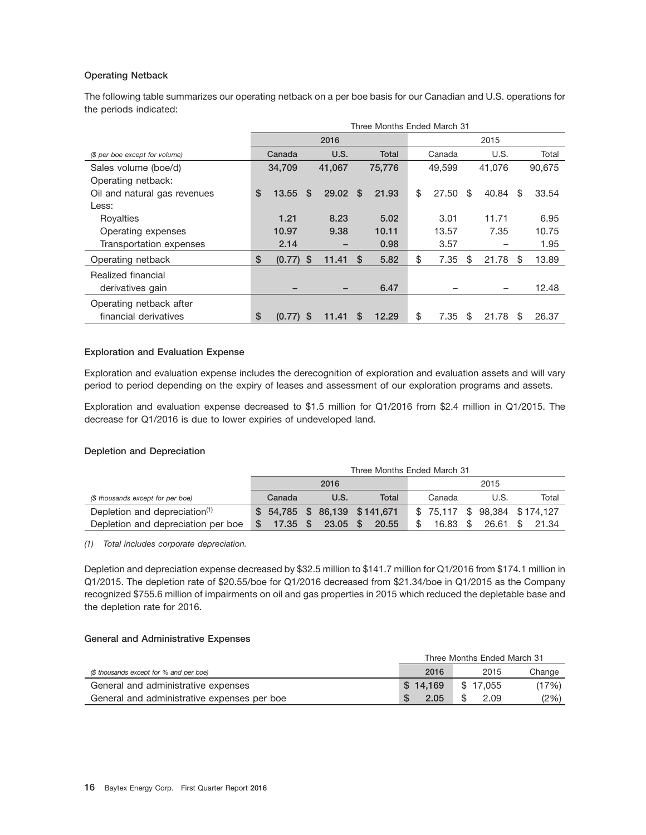#### **Operating Netback**

The following table summarizes our operating netback on a per boe basis for our Canadian and U.S. operations for the periods indicated:

|                                | Three Months Ended March 31 |          |            |          |              |    |        |    |        |    |        |  |
|--------------------------------|-----------------------------|----------|------------|----------|--------------|----|--------|----|--------|----|--------|--|
|                                | 2016                        |          |            |          |              |    | 2015   |    |        |    |        |  |
| (\$ per boe except for volume) | Canada                      |          | U.S.       |          | <b>Total</b> |    | Canada |    | U.S.   |    | Total  |  |
| Sales volume (boe/d)           | 34.709                      |          | 41.067     |          | 75,776       |    | 49.599 |    | 41.076 |    | 90,675 |  |
| Operating netback:             |                             |          |            |          |              |    |        |    |        |    |        |  |
| Oil and natural gas revenues   | \$<br>13.55                 | <b>S</b> | $29.02$ \$ |          | 21.93        | \$ | 27.50  | \$ | 40.84  | \$ | 33.54  |  |
| Less:                          |                             |          |            |          |              |    |        |    |        |    |        |  |
| Royalties                      | 1.21                        |          | 8.23       |          | 5.02         |    | 3.01   |    | 11.71  |    | 6.95   |  |
| Operating expenses             | 10.97                       |          | 9.38       |          | 10.11        |    | 13.57  |    | 7.35   |    | 10.75  |  |
| Transportation expenses        | 2.14                        |          | -          |          | 0.98         |    | 3.57   |    |        |    | 1.95   |  |
| Operating netback              | \$<br>$(0.77)$ \$           |          | 11.41      | <b>S</b> | 5.82         | \$ | 7.35   | \$ | 21.78  | \$ | 13.89  |  |
| Realized financial             |                             |          |            |          |              |    |        |    |        |    |        |  |
| derivatives gain               |                             |          |            |          | 6.47         |    |        |    | -      |    | 12.48  |  |
| Operating netback after        |                             |          |            |          |              |    |        |    |        |    |        |  |
| financial derivatives          | \$<br>$(0.77)$ \$           |          | 11.41      | S        | 12.29        | \$ | 7.35   | \$ | 21.78  | \$ | 26.37  |  |

#### **Exploration and Evaluation Expense**

Exploration and evaluation expense includes the derecognition of exploration and evaluation assets and will vary period to period depending on the expiry of leases and assessment of our exploration programs and assets.

Exploration and evaluation expense decreased to \$1.5 million for Q1/2016 from \$2.4 million in Q1/2015. The decrease for Q1/2016 is due to lower expiries of undeveloped land.

#### **Depletion and Depreciation**

|                                           |      | Three Months Ended March 31   |  |            |  |       |  |                             |  |       |      |       |
|-------------------------------------------|------|-------------------------------|--|------------|--|-------|--|-----------------------------|--|-------|------|-------|
|                                           | 2016 |                               |  |            |  | 2015  |  |                             |  |       |      |       |
| (\$ thousands except for per boe)         |      | Canada                        |  | U.S.       |  | Total |  | Canada                      |  | U.S.  |      | Total |
| Depletion and depreciation <sup>(1)</sup> |      | $$54,785$ \$ 86,139 \$141,671 |  |            |  |       |  | \$75,117 \$98,384 \$174,127 |  |       |      |       |
| Depletion and depreciation per boe        |      | $17.35$ \$                    |  | $23.05$ \$ |  | 20.55 |  | $16.83$ \$                  |  | 26.61 | - \$ | 21.34 |

*(1) Total includes corporate depreciation.*

Depletion and depreciation expense decreased by \$32.5 million to \$141.7 million for Q1/2016 from \$174.1 million in Q1/2015. The depletion rate of \$20.55/boe for Q1/2016 decreased from \$21.34/boe in Q1/2015 as the Company recognized \$755.6 million of impairments on oil and gas properties in 2015 which reduced the depletable base and the depletion rate for 2016.

#### **General and Administrative Expenses**

|                                             | Three Months Ended March 31 |          |        |  |  |  |
|---------------------------------------------|-----------------------------|----------|--------|--|--|--|
| (\$ thousands except for % and per boe)     | 2016                        | 2015     | Change |  |  |  |
| General and administrative expenses         | \$14.169                    | \$17.055 | (17%)  |  |  |  |
| General and administrative expenses per boe | 2.05                        | 2.09     | (2%)   |  |  |  |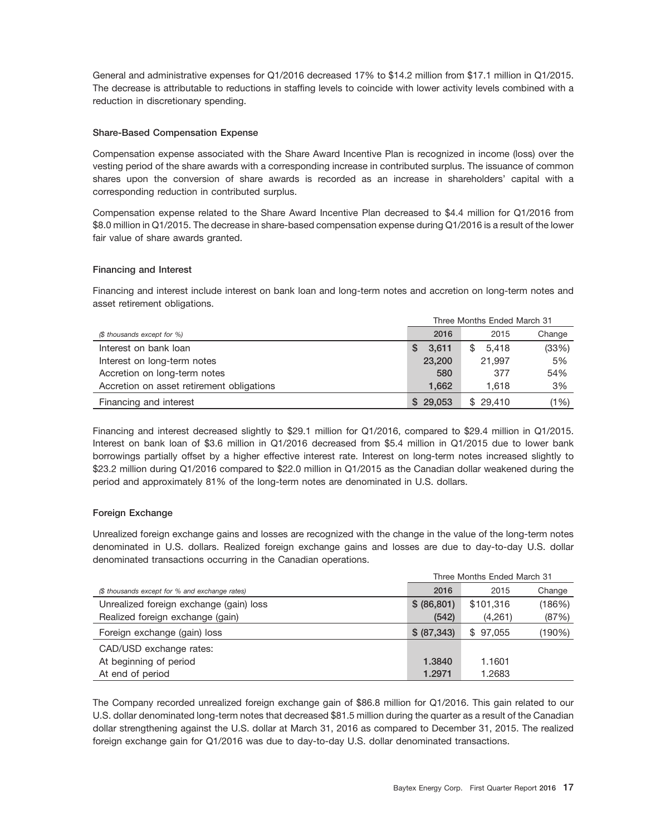General and administrative expenses for Q1/2016 decreased 17% to \$14.2 million from \$17.1 million in Q1/2015. The decrease is attributable to reductions in staffing levels to coincide with lower activity levels combined with a reduction in discretionary spending.

#### **Share-Based Compensation Expense**

Compensation expense associated with the Share Award Incentive Plan is recognized in income (loss) over the vesting period of the share awards with a corresponding increase in contributed surplus. The issuance of common shares upon the conversion of share awards is recorded as an increase in shareholders' capital with a corresponding reduction in contributed surplus.

Compensation expense related to the Share Award Incentive Plan decreased to \$4.4 million for Q1/2016 from \$8.0 million in Q1/2015. The decrease in share-based compensation expense during Q1/2016 is a result of the lower fair value of share awards granted.

#### **Financing and Interest**

Financing and interest include interest on bank loan and long-term notes and accretion on long-term notes and asset retirement obligations.

|                                           | Three Months Ended March 31 |             |        |  |  |  |
|-------------------------------------------|-----------------------------|-------------|--------|--|--|--|
| (\$ thousands except for %)               | 2016                        | 2015        | Change |  |  |  |
| Interest on bank loan                     | 3.611<br><b>S</b>           | 5.418<br>\$ | (33%)  |  |  |  |
| Interest on long-term notes               | 23,200                      | 21.997      | 5%     |  |  |  |
| Accretion on long-term notes              | 580                         | 377         | 54%    |  |  |  |
| Accretion on asset retirement obligations | 1,662                       | 1.618       | 3%     |  |  |  |
| Financing and interest                    | \$29.053                    | \$29.410    | (1%)   |  |  |  |

Financing and interest decreased slightly to \$29.1 million for Q1/2016, compared to \$29.4 million in Q1/2015. Interest on bank loan of \$3.6 million in Q1/2016 decreased from \$5.4 million in Q1/2015 due to lower bank borrowings partially offset by a higher effective interest rate. Interest on long-term notes increased slightly to \$23.2 million during Q1/2016 compared to \$22.0 million in Q1/2015 as the Canadian dollar weakened during the period and approximately 81% of the long-term notes are denominated in U.S. dollars.

### **Foreign Exchange**

Unrealized foreign exchange gains and losses are recognized with the change in the value of the long-term notes denominated in U.S. dollars. Realized foreign exchange gains and losses are due to day-to-day U.S. dollar denominated transactions occurring in the Canadian operations.

|                                                | Three Months Ended March 31 |           |        |  |  |
|------------------------------------------------|-----------------------------|-----------|--------|--|--|
| (\$ thousands except for % and exchange rates) | 2016                        | 2015      | Change |  |  |
| Unrealized foreign exchange (gain) loss        | \$ (86,801)                 | \$101,316 | (186%) |  |  |
| Realized foreign exchange (gain)               | (542)                       | (4,261)   | (87%)  |  |  |
| Foreign exchange (gain) loss                   | \$ (87,343)                 | \$97.055  | (190%) |  |  |
| CAD/USD exchange rates:                        |                             |           |        |  |  |
| At beginning of period                         | 1.3840                      | 1.1601    |        |  |  |
| At end of period                               | 1.2971                      | 1.2683    |        |  |  |

The Company recorded unrealized foreign exchange gain of \$86.8 million for Q1/2016. This gain related to our U.S. dollar denominated long-term notes that decreased \$81.5 million during the quarter as a result of the Canadian dollar strengthening against the U.S. dollar at March 31, 2016 as compared to December 31, 2015. The realized foreign exchange gain for Q1/2016 was due to day-to-day U.S. dollar denominated transactions.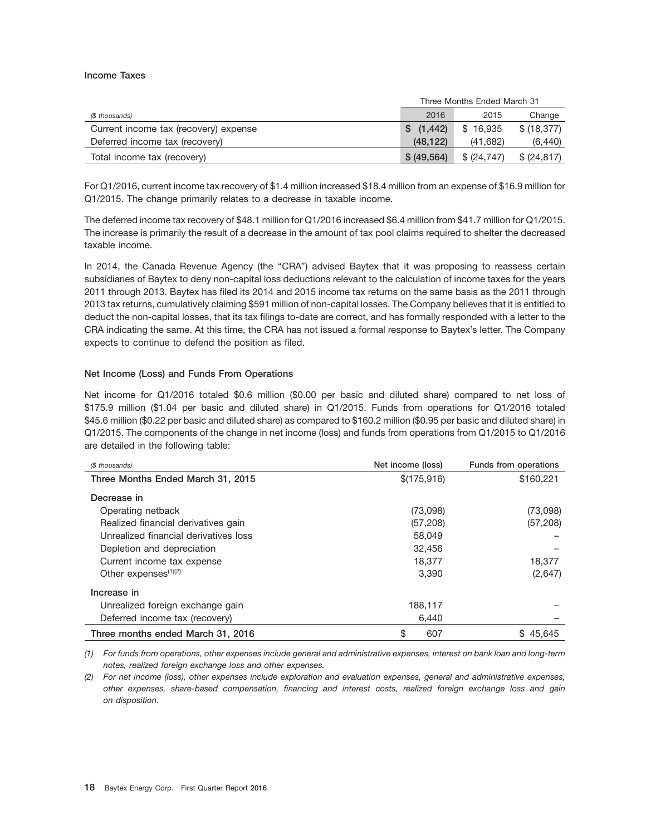#### **Income Taxes**

|                                       | Three Months Ended March 31 |             |              |  |  |
|---------------------------------------|-----------------------------|-------------|--------------|--|--|
| (\$ thousands)                        | 2016                        | 2015        | Change       |  |  |
| Current income tax (recovery) expense | \$(1,442)                   | \$16,935    | \$ (18, 377) |  |  |
| Deferred income tax (recovery)        | (48.122)                    | (41.682)    | (6, 440)     |  |  |
| Total income tax (recovery)           | \$ (49, 564)                | \$ (24.747) | \$ (24, 817) |  |  |

For Q1/2016, current income tax recovery of \$1.4 million increased \$18.4 million from an expense of \$16.9 million for Q1/2015. The change primarily relates to a decrease in taxable income.

The deferred income tax recovery of \$48.1 million for Q1/2016 increased \$6.4 million from \$41.7 million for Q1/2015. The increase is primarily the result of a decrease in the amount of tax pool claims required to shelter the decreased taxable income.

In 2014, the Canada Revenue Agency (the "CRA") advised Baytex that it was proposing to reassess certain subsidiaries of Baytex to deny non-capital loss deductions relevant to the calculation of income taxes for the years 2011 through 2013. Baytex has filed its 2014 and 2015 income tax returns on the same basis as the 2011 through 2013 tax returns, cumulatively claiming \$591 million of non-capital losses. The Company believes that it is entitled to deduct the non-capital losses, that its tax filings to-date are correct, and has formally responded with a letter to the CRA indicating the same. At this time, the CRA has not issued a formal response to Baytex's letter. The Company expects to continue to defend the position as filed.

#### **Net Income (Loss) and Funds From Operations**

Net income for Q1/2016 totaled \$0.6 million (\$0.00 per basic and diluted share) compared to net loss of \$175.9 million (\$1.04 per basic and diluted share) in Q1/2015. Funds from operations for Q1/2016 totaled \$45.6 million (\$0.22 per basic and diluted share) as compared to \$160.2 million (\$0.95 per basic and diluted share) in Q1/2015. The components of the change in net income (loss) and funds from operations from Q1/2015 to Q1/2016 are detailed in the following table:

| (\$ thousands)                        | Net income (loss) | Funds from operations |
|---------------------------------------|-------------------|-----------------------|
| Three Months Ended March 31, 2015     | \$(175,916)       | \$160,221             |
| Decrease in                           |                   |                       |
| Operating netback                     | (73,098)          | (73,098)              |
| Realized financial derivatives gain   | (57, 208)         | (57, 208)             |
| Unrealized financial derivatives loss | 58,049            |                       |
| Depletion and depreciation            | 32,456            |                       |
| Current income tax expense            | 18,377            | 18,377                |
| Other expenses $(1)(2)$               | 3.390             | (2,647)               |
| Increase in                           |                   |                       |
| Unrealized foreign exchange gain      | 188,117           |                       |
| Deferred income tax (recovery)        | 6,440             |                       |
| Three months ended March 31, 2016     | \$<br>607         | \$45,645              |

*(1) For funds from operations, other expenses include general and administrative expenses, interest on bank loan and long-term notes, realized foreign exchange loss and other expenses.*

*(2) For net income (loss), other expenses include exploration and evaluation expenses, general and administrative expenses, other expenses, share-based compensation, financing and interest costs, realized foreign exchange loss and gain on disposition.*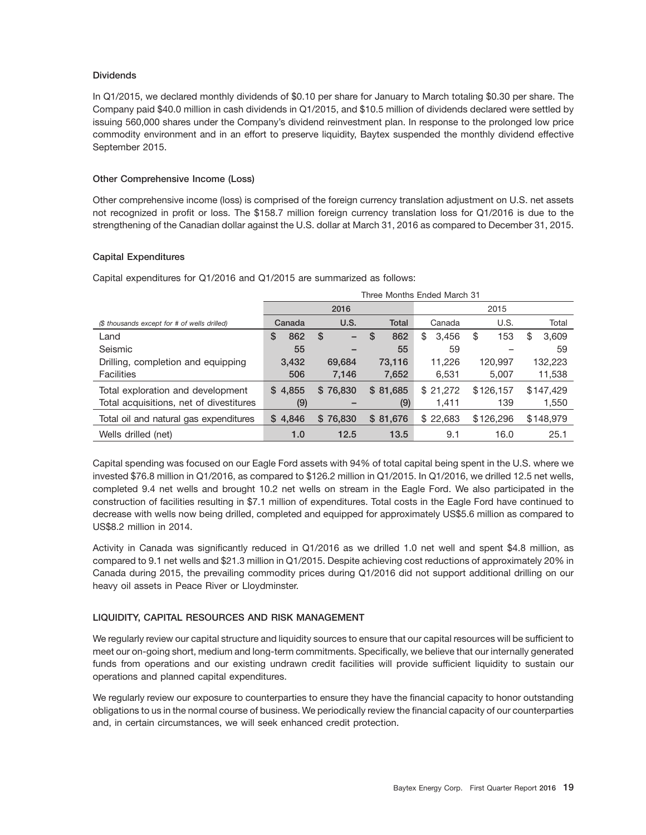#### **Dividends**

In Q1/2015, we declared monthly dividends of \$0.10 per share for January to March totaling \$0.30 per share. The Company paid \$40.0 million in cash dividends in Q1/2015, and \$10.5 million of dividends declared were settled by issuing 560,000 shares under the Company's dividend reinvestment plan. In response to the prolonged low price commodity environment and in an effort to preserve liquidity, Baytex suspended the monthly dividend effective September 2015.

#### **Other Comprehensive Income (Loss)**

Other comprehensive income (loss) is comprised of the foreign currency translation adjustment on U.S. net assets not recognized in profit or loss. The \$158.7 million foreign currency translation loss for Q1/2016 is due to the strengthening of the Canadian dollar against the U.S. dollar at March 31, 2016 as compared to December 31, 2015.

#### **Capital Expenditures**

Capital expenditures for Q1/2016 and Q1/2015 are summarized as follows:

|                                              | Three Months Ended March 31 |          |              |             |           |             |  |  |  |  |
|----------------------------------------------|-----------------------------|----------|--------------|-------------|-----------|-------------|--|--|--|--|
|                                              |                             | 2016     |              |             | 2015      |             |  |  |  |  |
| (\$ thousands except for # of wells drilled) | Canada                      | U.S.     | <b>Total</b> | Canada      | U.S.      | Total       |  |  |  |  |
| Land                                         | S<br>862                    | S<br>-   | 862<br>S     | \$<br>3,456 | 153<br>\$ | 3,609<br>\$ |  |  |  |  |
| Seismic                                      | 55                          | -        | 55           | 59          |           | 59          |  |  |  |  |
| Drilling, completion and equipping           | 3,432                       | 69,684   | 73,116       | 11,226      | 120,997   | 132,223     |  |  |  |  |
| <b>Facilities</b>                            | 506                         | 7,146    | 7,652        | 6,531       | 5,007     | 11,538      |  |  |  |  |
| Total exploration and development            | \$4,855                     | \$76,830 | \$81,685     | \$21,272    | \$126,157 | \$147,429   |  |  |  |  |
| Total acquisitions, net of divestitures      | (9)                         |          | (9)          | 1,411       | 139       | 1,550       |  |  |  |  |
| Total oil and natural gas expenditures       | \$4,846                     | \$76,830 | \$81,676     | \$22,683    | \$126,296 | \$148,979   |  |  |  |  |
| Wells drilled (net)                          | 1.0                         | 12.5     | 13.5         | 9.1         | 16.0      | 25.1        |  |  |  |  |

Capital spending was focused on our Eagle Ford assets with 94% of total capital being spent in the U.S. where we invested \$76.8 million in Q1/2016, as compared to \$126.2 million in Q1/2015. In Q1/2016, we drilled 12.5 net wells, completed 9.4 net wells and brought 10.2 net wells on stream in the Eagle Ford. We also participated in the construction of facilities resulting in \$7.1 million of expenditures. Total costs in the Eagle Ford have continued to decrease with wells now being drilled, completed and equipped for approximately US\$5.6 million as compared to US\$8.2 million in 2014.

Activity in Canada was significantly reduced in Q1/2016 as we drilled 1.0 net well and spent \$4.8 million, as compared to 9.1 net wells and \$21.3 million in Q1/2015. Despite achieving cost reductions of approximately 20% in Canada during 2015, the prevailing commodity prices during Q1/2016 did not support additional drilling on our heavy oil assets in Peace River or Lloydminster.

### **LIQUIDITY, CAPITAL RESOURCES AND RISK MANAGEMENT**

We regularly review our capital structure and liquidity sources to ensure that our capital resources will be sufficient to meet our on-going short, medium and long-term commitments. Specifically, we believe that our internally generated funds from operations and our existing undrawn credit facilities will provide sufficient liquidity to sustain our operations and planned capital expenditures.

We regularly review our exposure to counterparties to ensure they have the financial capacity to honor outstanding obligations to us in the normal course of business. We periodically review the financial capacity of our counterparties and, in certain circumstances, we will seek enhanced credit protection.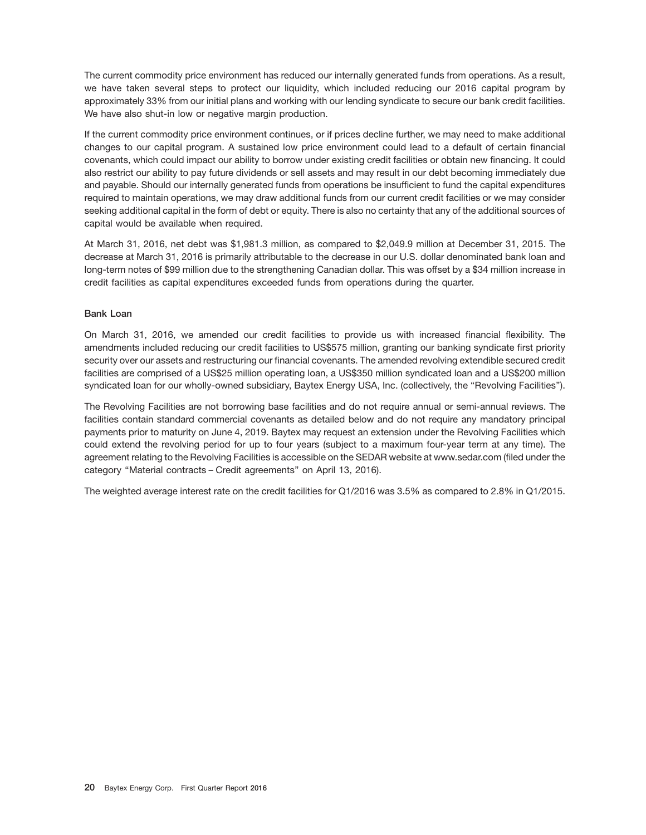The current commodity price environment has reduced our internally generated funds from operations. As a result, we have taken several steps to protect our liquidity, which included reducing our 2016 capital program by approximately 33% from our initial plans and working with our lending syndicate to secure our bank credit facilities. We have also shut-in low or negative margin production.

If the current commodity price environment continues, or if prices decline further, we may need to make additional changes to our capital program. A sustained low price environment could lead to a default of certain financial covenants, which could impact our ability to borrow under existing credit facilities or obtain new financing. It could also restrict our ability to pay future dividends or sell assets and may result in our debt becoming immediately due and payable. Should our internally generated funds from operations be insufficient to fund the capital expenditures required to maintain operations, we may draw additional funds from our current credit facilities or we may consider seeking additional capital in the form of debt or equity. There is also no certainty that any of the additional sources of capital would be available when required.

At March 31, 2016, net debt was \$1,981.3 million, as compared to \$2,049.9 million at December 31, 2015. The decrease at March 31, 2016 is primarily attributable to the decrease in our U.S. dollar denominated bank loan and long-term notes of \$99 million due to the strengthening Canadian dollar. This was offset by a \$34 million increase in credit facilities as capital expenditures exceeded funds from operations during the quarter.

#### **Bank Loan**

On March 31, 2016, we amended our credit facilities to provide us with increased financial flexibility. The amendments included reducing our credit facilities to US\$575 million, granting our banking syndicate first priority security over our assets and restructuring our financial covenants. The amended revolving extendible secured credit facilities are comprised of a US\$25 million operating loan, a US\$350 million syndicated loan and a US\$200 million syndicated loan for our wholly-owned subsidiary, Baytex Energy USA, Inc. (collectively, the "Revolving Facilities").

The Revolving Facilities are not borrowing base facilities and do not require annual or semi-annual reviews. The facilities contain standard commercial covenants as detailed below and do not require any mandatory principal payments prior to maturity on June 4, 2019. Baytex may request an extension under the Revolving Facilities which could extend the revolving period for up to four years (subject to a maximum four-year term at any time). The agreement relating to the Revolving Facilities is accessible on the SEDAR website at www.sedar.com (filed under the category "Material contracts - Credit agreements" on April 13, 2016).

The weighted average interest rate on the credit facilities for Q1/2016 was 3.5% as compared to 2.8% in Q1/2015.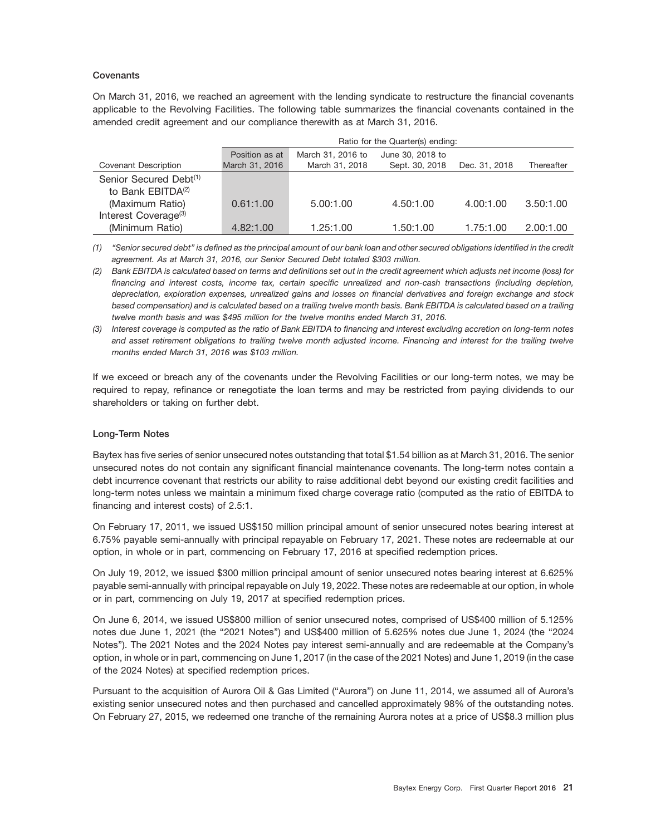#### **Covenants**

On March 31, 2016, we reached an agreement with the lending syndicate to restructure the financial covenants applicable to the Revolving Facilities. The following table summarizes the financial covenants contained in the amended credit agreement and our compliance therewith as at March 31, 2016.

|                                    | Ratio for the Quarter(s) ending: |                   |                  |               |            |  |  |  |  |
|------------------------------------|----------------------------------|-------------------|------------------|---------------|------------|--|--|--|--|
|                                    | Position as at                   | March 31, 2016 to | June 30, 2018 to |               |            |  |  |  |  |
| <b>Covenant Description</b>        | March 31, 2016                   | March 31, 2018    | Sept. 30, 2018   | Dec. 31, 2018 | Thereafter |  |  |  |  |
| Senior Secured Debt <sup>(1)</sup> |                                  |                   |                  |               |            |  |  |  |  |
| to Bank EBITDA $(2)$               |                                  |                   |                  |               |            |  |  |  |  |
| (Maximum Ratio)                    | 0.61:1.00                        | 5.00:1.00         | 4.50:1.00        | 4.00:1.00     | 3.50:1.00  |  |  |  |  |
| Interest Coverage <sup>(3)</sup>   |                                  |                   |                  |               |            |  |  |  |  |
| (Minimum Ratio)                    | 4.82:1.00                        | 1.25:1.00         | 1.50:1.00        | 1.75:1.00     | 2.00:1.00  |  |  |  |  |

*(1) ''Senior secured debt'' is defined as the principal amount of our bank loan and other secured obligations identified in the credit agreement. As at March 31, 2016, our Senior Secured Debt totaled \$303 million.*

*(2) Bank EBITDA is calculated based on terms and definitions set out in the credit agreement which adjusts net income (loss) for financing and interest costs, income tax, certain specific unrealized and non-cash transactions (including depletion, depreciation, exploration expenses, unrealized gains and losses on financial derivatives and foreign exchange and stock based compensation) and is calculated based on a trailing twelve month basis. Bank EBITDA is calculated based on a trailing twelve month basis and was \$495 million for the twelve months ended March 31, 2016.*

*(3) Interest coverage is computed as the ratio of Bank EBITDA to financing and interest excluding accretion on long-term notes and asset retirement obligations to trailing twelve month adjusted income. Financing and interest for the trailing twelve months ended March 31, 2016 was \$103 million.*

If we exceed or breach any of the covenants under the Revolving Facilities or our long-term notes, we may be required to repay, refinance or renegotiate the loan terms and may be restricted from paying dividends to our shareholders or taking on further debt.

#### **Long-Term Notes**

Baytex has five series of senior unsecured notes outstanding that total \$1.54 billion as at March 31, 2016. The senior unsecured notes do not contain any significant financial maintenance covenants. The long-term notes contain a debt incurrence covenant that restricts our ability to raise additional debt beyond our existing credit facilities and long-term notes unless we maintain a minimum fixed charge coverage ratio (computed as the ratio of EBITDA to financing and interest costs) of 2.5:1.

On February 17, 2011, we issued US\$150 million principal amount of senior unsecured notes bearing interest at 6.75% payable semi-annually with principal repayable on February 17, 2021. These notes are redeemable at our option, in whole or in part, commencing on February 17, 2016 at specified redemption prices.

On July 19, 2012, we issued \$300 million principal amount of senior unsecured notes bearing interest at 6.625% payable semi-annually with principal repayable on July 19, 2022. These notes are redeemable at our option, in whole or in part, commencing on July 19, 2017 at specified redemption prices.

On June 6, 2014, we issued US\$800 million of senior unsecured notes, comprised of US\$400 million of 5.125% notes due June 1, 2021 (the "2021 Notes") and US\$400 million of 5.625% notes due June 1, 2024 (the "2024 Notes''). The 2021 Notes and the 2024 Notes pay interest semi-annually and are redeemable at the Company's option, in whole or in part, commencing on June 1, 2017 (in the case of the 2021 Notes) and June 1, 2019 (in the case of the 2024 Notes) at specified redemption prices.

Pursuant to the acquisition of Aurora Oil & Gas Limited (''Aurora'') on June 11, 2014, we assumed all of Aurora's existing senior unsecured notes and then purchased and cancelled approximately 98% of the outstanding notes. On February 27, 2015, we redeemed one tranche of the remaining Aurora notes at a price of US\$8.3 million plus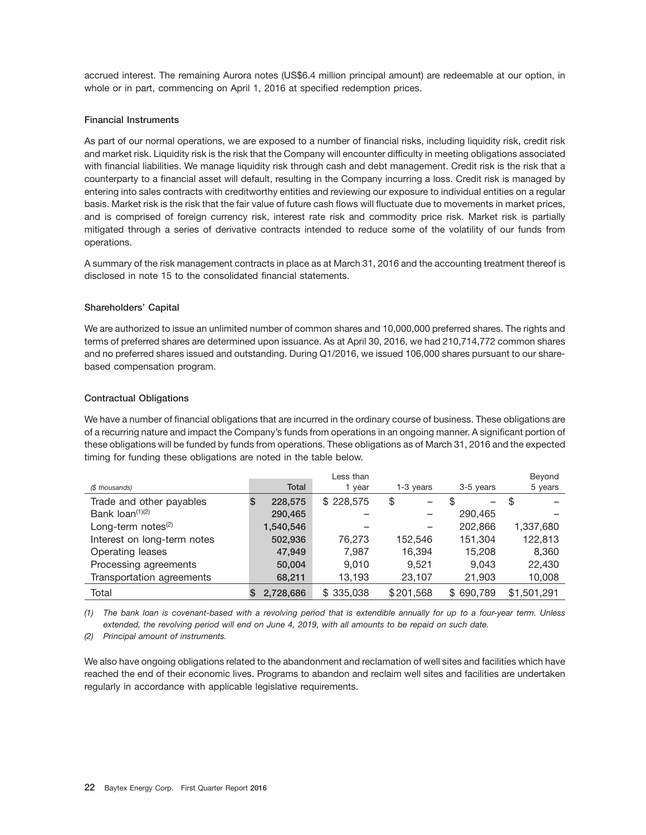accrued interest. The remaining Aurora notes (US\$6.4 million principal amount) are redeemable at our option, in whole or in part, commencing on April 1, 2016 at specified redemption prices.

#### **Financial Instruments**

As part of our normal operations, we are exposed to a number of financial risks, including liquidity risk, credit risk and market risk. Liquidity risk is the risk that the Company will encounter difficulty in meeting obligations associated with financial liabilities. We manage liquidity risk through cash and debt management. Credit risk is the risk that a counterparty to a financial asset will default, resulting in the Company incurring a loss. Credit risk is managed by entering into sales contracts with creditworthy entities and reviewing our exposure to individual entities on a regular basis. Market risk is the risk that the fair value of future cash flows will fluctuate due to movements in market prices, and is comprised of foreign currency risk, interest rate risk and commodity price risk. Market risk is partially mitigated through a series of derivative contracts intended to reduce some of the volatility of our funds from operations.

A summary of the risk management contracts in place as at March 31, 2016 and the accounting treatment thereof is disclosed in note 15 to the consolidated financial statements.

#### **Shareholders' Capital**

We are authorized to issue an unlimited number of common shares and 10,000,000 preferred shares. The rights and terms of preferred shares are determined upon issuance. As at April 30, 2016, we had 210,714,772 common shares and no preferred shares issued and outstanding. During Q1/2016, we issued 106,000 shares pursuant to our sharebased compensation program.

#### **Contractual Obligations**

We have a number of financial obligations that are incurred in the ordinary course of business. These obligations are of a recurring nature and impact the Company's funds from operations in an ongoing manner. A significant portion of these obligations will be funded by funds from operations. These obligations as of March 31, 2016 and the expected timing for funding these obligations are noted in the table below.

|                             |              | Less than |           |           | Beyond      |
|-----------------------------|--------------|-----------|-----------|-----------|-------------|
| (\$ thousands)              | <b>Total</b> | 1 year    | 1-3 years | 3-5 years | 5 years     |
| Trade and other payables    | 228,575<br>S | \$228,575 | \$<br>-   |           | \$          |
| Bank loan <sup>(1)(2)</sup> | 290,465      |           |           | 290.465   |             |
| Long-term notes $(2)$       | 1,540,546    |           |           | 202,866   | 1,337,680   |
| Interest on long-term notes | 502,936      | 76.273    | 152.546   | 151.304   | 122,813     |
| Operating leases            | 47,949       | 7.987     | 16.394    | 15.208    | 8,360       |
| Processing agreements       | 50,004       | 9,010     | 9.521     | 9.043     | 22,430      |
| Transportation agreements   | 68,211       | 13,193    | 23,107    | 21,903    | 10,008      |
| Total                       | 2,728,686    | \$335,038 | \$201,568 | \$690,789 | \$1,501,291 |

*(1) The bank loan is covenant-based with a revolving period that is extendible annually for up to a four-year term. Unless extended, the revolving period will end on June 4, 2019, with all amounts to be repaid on such date.*

*(2) Principal amount of instruments.*

We also have ongoing obligations related to the abandonment and reclamation of well sites and facilities which have reached the end of their economic lives. Programs to abandon and reclaim well sites and facilities are undertaken regularly in accordance with applicable legislative requirements.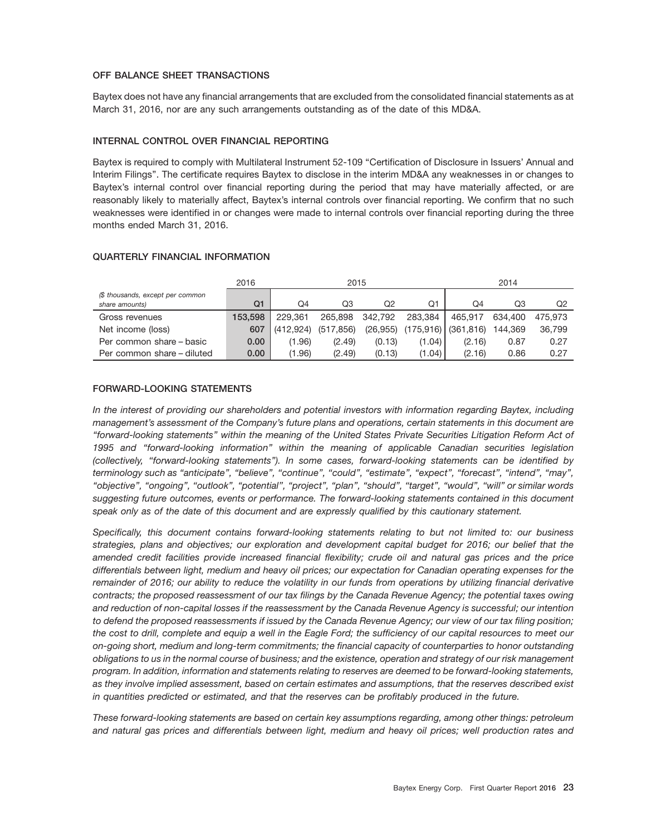#### **OFF BALANCE SHEET TRANSACTIONS**

Baytex does not have any financial arrangements that are excluded from the consolidated financial statements as at March 31, 2016, nor are any such arrangements outstanding as of the date of this MD&A.

#### **INTERNAL CONTROL OVER FINANCIAL REPORTING**

Baytex is required to comply with Multilateral Instrument 52-109 ''Certification of Disclosure in Issuers' Annual and Interim Filings''. The certificate requires Baytex to disclose in the interim MD&A any weaknesses in or changes to Baytex's internal control over financial reporting during the period that may have materially affected, or are reasonably likely to materially affect, Baytex's internal controls over financial reporting. We confirm that no such weaknesses were identified in or changes were made to internal controls over financial reporting during the three months ended March 31, 2016.

#### **QUARTERLY FINANCIAL INFORMATION**

|                                                    | 2016              |           | 2015       |         |                                    | 2014    |         |         |
|----------------------------------------------------|-------------------|-----------|------------|---------|------------------------------------|---------|---------|---------|
| (\$ thousands, except per common<br>share amounts) | Q1                | Q4        | Q3         | Q2      | O1                                 | Q4      | Q3      | Q2      |
| Gross revenues                                     | 153,598           | 229.361   | 265,898    | 342,792 | 283,384                            | 465.917 | 634.400 | 475.973 |
| Net income (loss)                                  | 607               | (412.924) | (517, 856) |         | $(26,955)$ $(175,916)$ $(361,816)$ |         | 144.369 | 36.799  |
| Per common share – basic                           | 0.00 <sub>1</sub> | (1.96)    | (2.49)     | (0.13)  | (1.04)                             | (2.16)  | 0.87    | 0.27    |
| Per common share – diluted                         | 0.00 <sub>1</sub> | (1.96)    | (2.49)     | (0.13)  | (1.04)                             | (2.16)  | 0.86    | 0.27    |

#### **FORWARD-LOOKING STATEMENTS**

*In the interest of providing our shareholders and potential investors with information regarding Baytex, including management's assessment of the Company's future plans and operations, certain statements in this document are ''forward-looking statements'' within the meaning of the United States Private Securities Litigation Reform Act of 1995 and ''forward-looking information'' within the meaning of applicable Canadian securities legislation (collectively, ''forward-looking statements''). In some cases, forward-looking statements can be identified by terminology such as ''anticipate'', ''believe'', ''continue'', ''could'', ''estimate'', ''expect'', ''forecast'', ''intend'', ''may'', ''objective'', ''ongoing'', ''outlook'', ''potential'', ''project'', ''plan'', ''should'', ''target'', ''would'', ''will'' or similar words suggesting future outcomes, events or performance. The forward-looking statements contained in this document speak only as of the date of this document and are expressly qualified by this cautionary statement.*

*Specifically, this document contains forward-looking statements relating to but not limited to: our business strategies, plans and objectives; our exploration and development capital budget for 2016; our belief that the amended credit facilities provide increased financial flexibility; crude oil and natural gas prices and the price differentials between light, medium and heavy oil prices; our expectation for Canadian operating expenses for the remainder of 2016; our ability to reduce the volatility in our funds from operations by utilizing financial derivative contracts; the proposed reassessment of our tax filings by the Canada Revenue Agency; the potential taxes owing and reduction of non-capital losses if the reassessment by the Canada Revenue Agency is successful; our intention to defend the proposed reassessments if issued by the Canada Revenue Agency; our view of our tax filing position; the cost to drill, complete and equip a well in the Eagle Ford; the sufficiency of our capital resources to meet our on-going short, medium and long-term commitments; the financial capacity of counterparties to honor outstanding obligations to us in the normal course of business; and the existence, operation and strategy of our risk management program. In addition, information and statements relating to reserves are deemed to be forward-looking statements, as they involve implied assessment, based on certain estimates and assumptions, that the reserves described exist in quantities predicted or estimated, and that the reserves can be profitably produced in the future.*

*These forward-looking statements are based on certain key assumptions regarding, among other things: petroleum and natural gas prices and differentials between light, medium and heavy oil prices; well production rates and*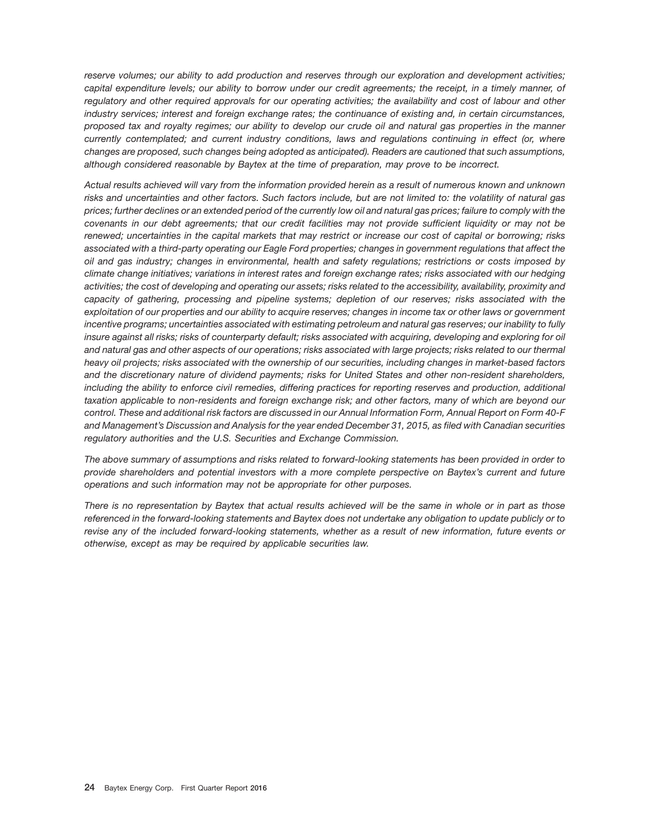*reserve volumes; our ability to add production and reserves through our exploration and development activities; capital expenditure levels; our ability to borrow under our credit agreements; the receipt, in a timely manner, of regulatory and other required approvals for our operating activities; the availability and cost of labour and other industry services; interest and foreign exchange rates; the continuance of existing and, in certain circumstances, proposed tax and royalty regimes; our ability to develop our crude oil and natural gas properties in the manner currently contemplated; and current industry conditions, laws and regulations continuing in effect (or, where changes are proposed, such changes being adopted as anticipated). Readers are cautioned that such assumptions, although considered reasonable by Baytex at the time of preparation, may prove to be incorrect.*

*Actual results achieved will vary from the information provided herein as a result of numerous known and unknown risks and uncertainties and other factors. Such factors include, but are not limited to: the volatility of natural gas prices; further declines or an extended period of the currently low oil and natural gas prices; failure to comply with the covenants in our debt agreements; that our credit facilities may not provide sufficient liquidity or may not be renewed; uncertainties in the capital markets that may restrict or increase our cost of capital or borrowing; risks associated with a third-party operating our Eagle Ford properties; changes in government regulations that affect the oil and gas industry; changes in environmental, health and safety regulations; restrictions or costs imposed by climate change initiatives; variations in interest rates and foreign exchange rates; risks associated with our hedging activities; the cost of developing and operating our assets; risks related to the accessibility, availability, proximity and capacity of gathering, processing and pipeline systems; depletion of our reserves; risks associated with the exploitation of our properties and our ability to acquire reserves; changes in income tax or other laws or government incentive programs; uncertainties associated with estimating petroleum and natural gas reserves; our inability to fully insure against all risks; risks of counterparty default; risks associated with acquiring, developing and exploring for oil and natural gas and other aspects of our operations; risks associated with large projects; risks related to our thermal heavy oil projects; risks associated with the ownership of our securities, including changes in market-based factors and the discretionary nature of dividend payments; risks for United States and other non-resident shareholders, including the ability to enforce civil remedies, differing practices for reporting reserves and production, additional taxation applicable to non-residents and foreign exchange risk; and other factors, many of which are beyond our control. These and additional risk factors are discussed in our Annual Information Form, Annual Report on Form 40-F and Management's Discussion and Analysis for the year ended December 31, 2015, as filed with Canadian securities regulatory authorities and the U.S. Securities and Exchange Commission.*

*The above summary of assumptions and risks related to forward-looking statements has been provided in order to provide shareholders and potential investors with a more complete perspective on Baytex's current and future operations and such information may not be appropriate for other purposes.*

*There is no representation by Baytex that actual results achieved will be the same in whole or in part as those referenced in the forward-looking statements and Baytex does not undertake any obligation to update publicly or to revise any of the included forward-looking statements, whether as a result of new information, future events or otherwise, except as may be required by applicable securities law.*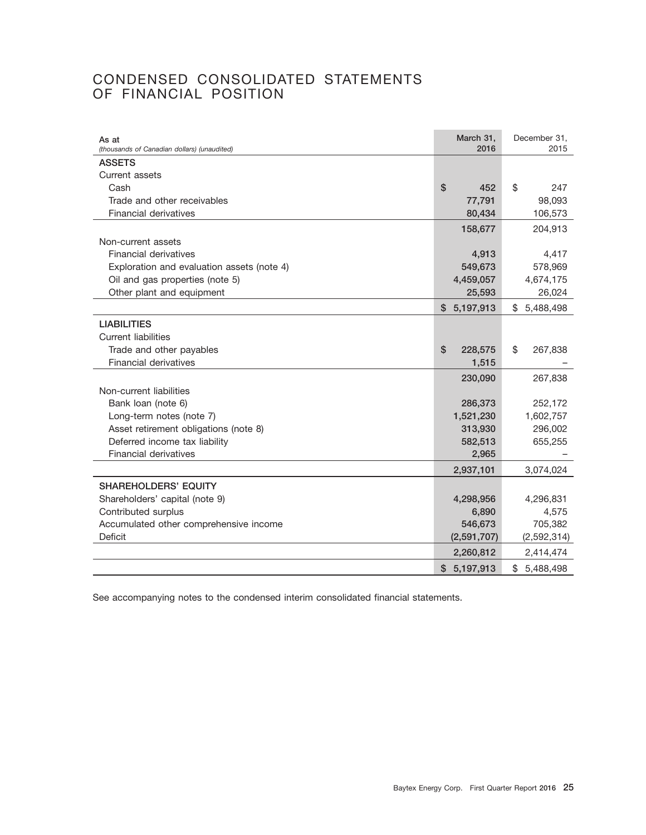# CONDENSED CONSOLIDATED STATEMENTS OF FINANCIAL POSITION

| As at<br>(thousands of Canadian dollars) (unaudited) | March 31,<br>2016           | December 31,<br>2015 |
|------------------------------------------------------|-----------------------------|----------------------|
| <b>ASSETS</b>                                        |                             |                      |
| Current assets                                       |                             |                      |
| Cash                                                 | \$<br>452                   | \$<br>247            |
| Trade and other receivables                          | 77,791                      | 98,093               |
| <b>Financial derivatives</b>                         | 80,434                      | 106,573              |
|                                                      | 158,677                     | 204,913              |
| Non-current assets                                   |                             |                      |
| <b>Financial derivatives</b>                         | 4,913                       | 4,417                |
| Exploration and evaluation assets (note 4)           | 549,673                     | 578,969              |
| Oil and gas properties (note 5)                      | 4,459,057                   | 4,674,175            |
| Other plant and equipment                            | 25,593                      | 26,024               |
|                                                      | 5,197,913<br>$\mathbb{S}^-$ | \$<br>5,488,498      |
| <b>LIABILITIES</b>                                   |                             |                      |
| <b>Current liabilities</b>                           |                             |                      |
| Trade and other payables                             | \$<br>228,575               | \$<br>267,838        |
| <b>Financial derivatives</b>                         | 1,515                       |                      |
|                                                      | 230,090                     | 267,838              |
| Non-current liabilities                              |                             |                      |
| Bank loan (note 6)                                   | 286,373                     | 252,172              |
| Long-term notes (note 7)                             | 1,521,230                   | 1,602,757            |
| Asset retirement obligations (note 8)                | 313,930                     | 296,002              |
| Deferred income tax liability                        | 582,513                     | 655,255              |
| <b>Financial derivatives</b>                         | 2,965                       |                      |
|                                                      | 2,937,101                   | 3,074,024            |
| <b>SHAREHOLDERS' EQUITY</b>                          |                             |                      |
| Shareholders' capital (note 9)                       | 4,298,956                   | 4,296,831            |
| Contributed surplus                                  | 6,890                       | 4,575                |
| Accumulated other comprehensive income               | 546,673                     | 705,382              |
| Deficit                                              | (2,591,707)                 | (2,592,314)          |
|                                                      | 2,260,812                   | 2,414,474            |
|                                                      | \$5,197,913                 | 5,488,498<br>\$      |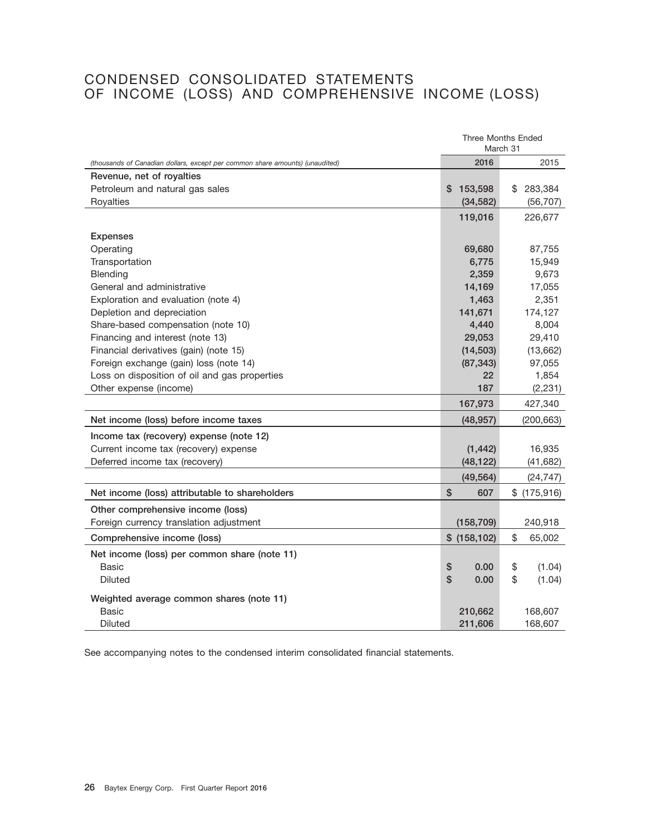## CONDENSED CONSOLIDATED STATEMENTS OF INCOME (LOSS) AND COMPREHENSIVE INCOME (LOSS)

|                                                                              |                       | <b>Three Months Ended</b><br>March 31 |
|------------------------------------------------------------------------------|-----------------------|---------------------------------------|
| (thousands of Canadian dollars, except per common share amounts) (unaudited) | 2016                  | 2015                                  |
| Revenue, net of royalties                                                    |                       |                                       |
| Petroleum and natural gas sales                                              | 153,598<br>\$.        | 283,384<br>S                          |
| Royalties                                                                    | (34, 582)             | (56, 707)                             |
|                                                                              | 119,016               | 226,677                               |
| <b>Expenses</b>                                                              |                       |                                       |
| Operating                                                                    | 69,680                | 87,755                                |
| Transportation                                                               | 6,775                 | 15,949                                |
| Blending                                                                     | 2,359                 | 9,673                                 |
| General and administrative                                                   | 14,169                | 17,055                                |
| Exploration and evaluation (note 4)                                          | 1,463                 | 2,351                                 |
| Depletion and depreciation                                                   | 141,671               | 174,127                               |
| Share-based compensation (note 10)                                           | 4,440                 | 8,004                                 |
| Financing and interest (note 13)                                             | 29,053                | 29,410                                |
| Financial derivatives (gain) (note 15)                                       | (14, 503)             | (13,662)                              |
| Foreign exchange (gain) loss (note 14)                                       | (87, 343)             | 97,055                                |
| Loss on disposition of oil and gas properties                                | 22                    | 1,854                                 |
| Other expense (income)                                                       | 187                   | (2, 231)                              |
|                                                                              | 167,973               | 427,340                               |
| Net income (loss) before income taxes                                        | (48, 957)             | (200, 663)                            |
| Income tax (recovery) expense (note 12)                                      |                       |                                       |
| Current income tax (recovery) expense                                        | (1, 442)              | 16,935                                |
| Deferred income tax (recovery)                                               | (48, 122)             | (41, 682)                             |
|                                                                              | (49, 564)             | (24, 747)                             |
| Net income (loss) attributable to shareholders                               | \$<br>607             | \$(175,916)                           |
| Other comprehensive income (loss)                                            |                       |                                       |
| Foreign currency translation adjustment                                      | (158, 709)            | 240,918                               |
| Comprehensive income (loss)                                                  | \$(158, 102)          | \$<br>65,002                          |
| Net income (loss) per common share (note 11)                                 |                       |                                       |
| <b>Basic</b>                                                                 | \$<br>0.00            | \$<br>(1.04)                          |
| <b>Diluted</b>                                                               | $\mathsf{\$}$<br>0.00 | \$<br>(1.04)                          |
| Weighted average common shares (note 11)                                     |                       |                                       |
| <b>Basic</b>                                                                 | 210,662               | 168,607                               |
| <b>Diluted</b>                                                               | 211,606               | 168,607                               |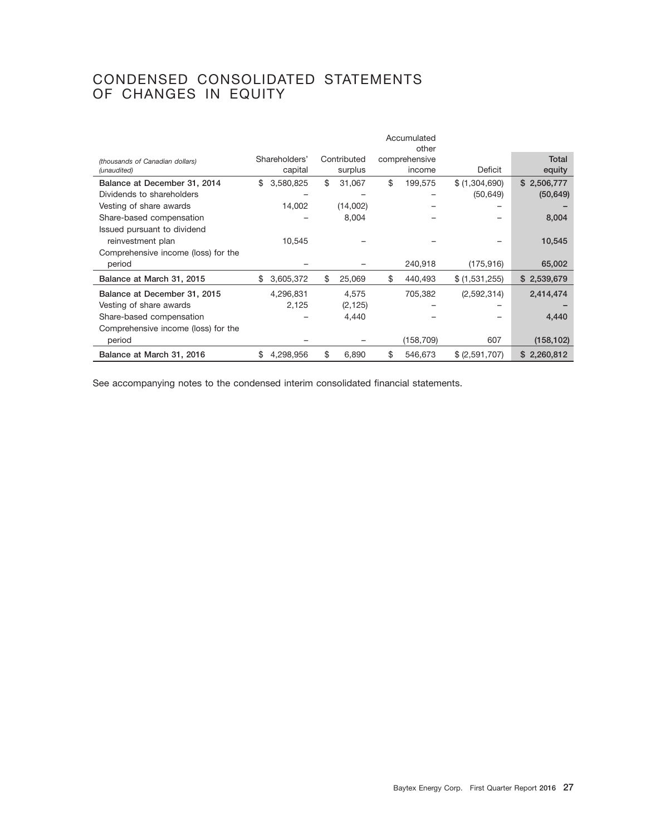# CONDENSED CONSOLIDATED STATEMENTS OF CHANGES IN EQUITY

|                                                |                          |                        | Accumulated<br>other    |                |                        |
|------------------------------------------------|--------------------------|------------------------|-------------------------|----------------|------------------------|
| (thousands of Canadian dollars)<br>(unaudited) | Shareholders'<br>capital | Contributed<br>surplus | comprehensive<br>income | Deficit        | <b>Total</b><br>equity |
| Balance at December 31, 2014                   | \$<br>3,580,825          | \$<br>31,067           | \$<br>199,575           | \$ (1,304,690) | \$2,506,777            |
| Dividends to shareholders                      |                          |                        |                         | (50, 649)      | (50, 649)              |
| Vesting of share awards                        | 14,002                   | (14,002)               |                         |                |                        |
| Share-based compensation                       |                          | 8.004                  |                         |                | 8,004                  |
| Issued pursuant to dividend                    |                          |                        |                         |                |                        |
| reinvestment plan                              | 10,545                   |                        |                         |                | 10,545                 |
| Comprehensive income (loss) for the            |                          |                        |                         |                |                        |
| period                                         |                          |                        | 240,918                 | (175, 916)     | 65,002                 |
| Balance at March 31, 2015                      | \$<br>3,605,372          | \$<br>25,069           | \$<br>440,493           | \$(1,531,255)  | \$2,539,679            |
| Balance at December 31, 2015                   | 4,296,831                | 4,575                  | 705,382                 | (2,592,314)    | 2,414,474              |
| Vesting of share awards                        | 2,125                    | (2, 125)               |                         |                |                        |
| Share-based compensation                       |                          | 4,440                  |                         |                | 4,440                  |
| Comprehensive income (loss) for the            |                          |                        |                         |                |                        |
| period                                         |                          |                        | (158, 709)              | 607            | (158, 102)             |
| Balance at March 31, 2016                      | \$<br>4,298,956          | \$<br>6,890            | \$<br>546,673           | \$ (2,591,707) | \$2,260,812            |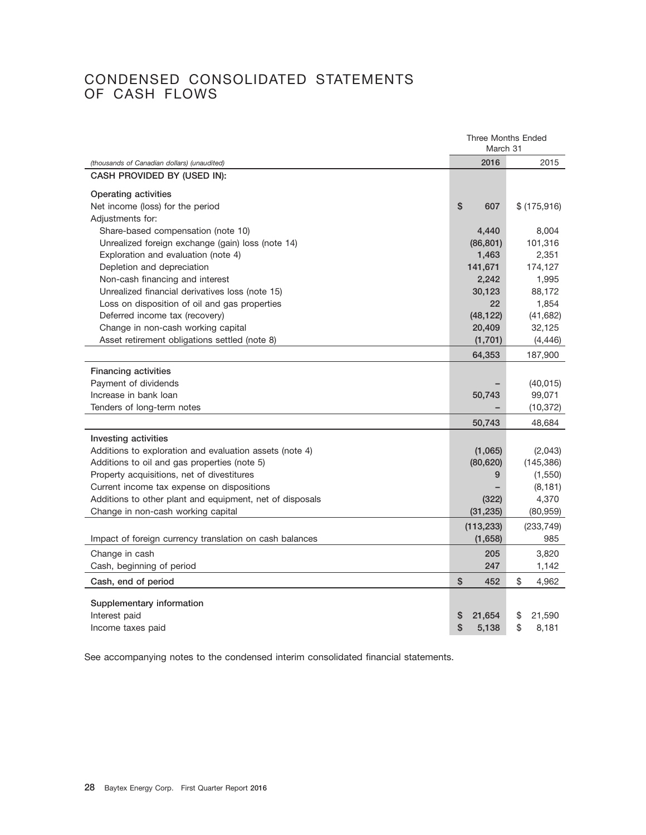# CONDENSED CONSOLIDATED STATEMENTS OF CASH FLOWS

|                                                          | <b>Three Months Ended</b><br>March 31 |              |
|----------------------------------------------------------|---------------------------------------|--------------|
| (thousands of Canadian dollars) (unaudited)              | 2016                                  | 2015         |
| CASH PROVIDED BY (USED IN):                              |                                       |              |
| <b>Operating activities</b>                              |                                       |              |
| Net income (loss) for the period                         | \$<br>607                             | \$(175,916)  |
| Adjustments for:                                         |                                       |              |
| Share-based compensation (note 10)                       | 4,440                                 | 8,004        |
| Unrealized foreign exchange (gain) loss (note 14)        | (86, 801)                             | 101,316      |
| Exploration and evaluation (note 4)                      | 1,463                                 | 2,351        |
| Depletion and depreciation                               | 141,671                               | 174,127      |
| Non-cash financing and interest                          | 2,242                                 | 1,995        |
| Unrealized financial derivatives loss (note 15)          | 30,123                                | 88,172       |
| Loss on disposition of oil and gas properties            | 22                                    | 1,854        |
| Deferred income tax (recovery)                           | (48, 122)                             | (41, 682)    |
| Change in non-cash working capital                       | 20,409                                | 32,125       |
| Asset retirement obligations settled (note 8)            | (1,701)                               | (4, 446)     |
|                                                          | 64,353                                | 187,900      |
| <b>Financing activities</b>                              |                                       |              |
| Payment of dividends                                     |                                       | (40, 015)    |
| Increase in bank loan                                    | 50,743                                | 99,071       |
| Tenders of long-term notes                               |                                       | (10, 372)    |
|                                                          | 50,743                                | 48,684       |
| Investing activities                                     |                                       |              |
| Additions to exploration and evaluation assets (note 4)  | (1,065)                               | (2,043)      |
| Additions to oil and gas properties (note 5)             | (80, 620)                             | (145, 386)   |
| Property acquisitions, net of divestitures               | 9                                     | (1, 550)     |
| Current income tax expense on dispositions               |                                       | (8, 181)     |
| Additions to other plant and equipment, net of disposals | (322)                                 | 4,370        |
| Change in non-cash working capital                       | (31, 235)                             | (80, 959)    |
|                                                          | (113, 233)                            | (233, 749)   |
| Impact of foreign currency translation on cash balances  | (1,658)                               | 985          |
| Change in cash                                           | 205                                   | 3,820        |
| Cash, beginning of period                                | 247                                   | 1,142        |
| Cash, end of period                                      | \$<br>452                             | \$<br>4,962  |
| Supplementary information                                |                                       |              |
| Interest paid                                            | \$<br>21,654                          | 21,590<br>\$ |
| Income taxes paid                                        | \$<br>5,138                           | \$<br>8,181  |
|                                                          |                                       |              |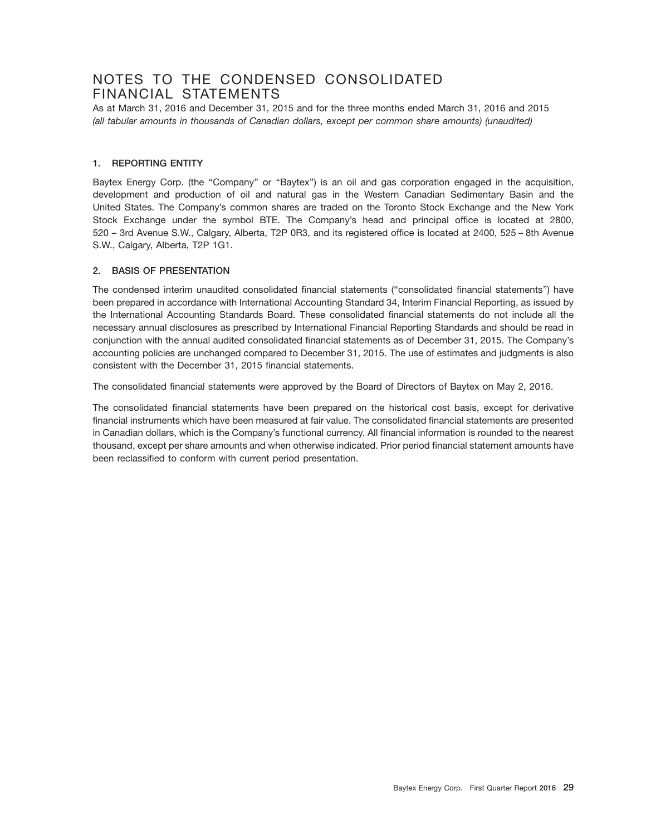# NOTES TO THE CONDENSED CONSOLIDATED FINANCIAL STATEMENTS

As at March 31, 2016 and December 31, 2015 and for the three months ended March 31, 2016 and 2015 *(all tabular amounts in thousands of Canadian dollars, except per common share amounts) (unaudited)*

#### **1. REPORTING ENTITY**

Baytex Energy Corp. (the "Company" or "Baytex") is an oil and gas corporation engaged in the acquisition, development and production of oil and natural gas in the Western Canadian Sedimentary Basin and the United States. The Company's common shares are traded on the Toronto Stock Exchange and the New York Stock Exchange under the symbol BTE. The Company's head and principal office is located at 2800, 520 – 3rd Avenue S.W., Calgary, Alberta, T2P 0R3, and its registered office is located at 2400, 525 – 8th Avenue S.W., Calgary, Alberta, T2P 1G1.

#### **2. BASIS OF PRESENTATION**

The condensed interim unaudited consolidated financial statements (''consolidated financial statements'') have been prepared in accordance with International Accounting Standard 34, Interim Financial Reporting, as issued by the International Accounting Standards Board. These consolidated financial statements do not include all the necessary annual disclosures as prescribed by International Financial Reporting Standards and should be read in conjunction with the annual audited consolidated financial statements as of December 31, 2015. The Company's accounting policies are unchanged compared to December 31, 2015. The use of estimates and judgments is also consistent with the December 31, 2015 financial statements.

The consolidated financial statements were approved by the Board of Directors of Baytex on May 2, 2016.

The consolidated financial statements have been prepared on the historical cost basis, except for derivative financial instruments which have been measured at fair value. The consolidated financial statements are presented in Canadian dollars, which is the Company's functional currency. All financial information is rounded to the nearest thousand, except per share amounts and when otherwise indicated. Prior period financial statement amounts have been reclassified to conform with current period presentation.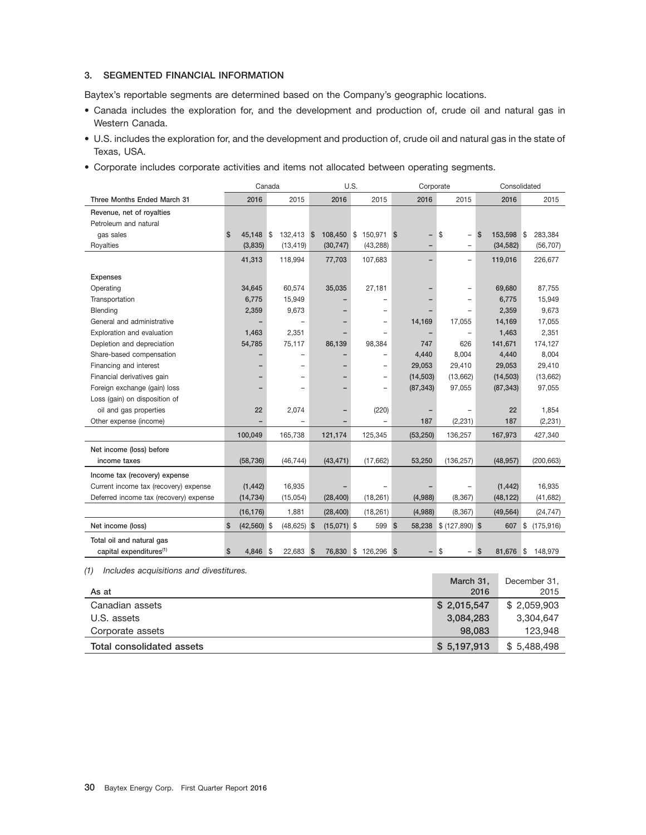## **3. SEGMENTED FINANCIAL INFORMATION**

Baytex's reportable segments are determined based on the Company's geographic locations.

- Canada includes the exploration for, and the development and production of, crude oil and natural gas in Western Canada.
- U.S. includes the exploration for, and the development and production of, crude oil and natural gas in the state of Texas, USA.
- Corporate includes corporate activities and items not allocated between operating segments.

|                                        | Canada |               |  |                | U.S.     |               |  | Corporate                |  |           |                 | Consolidated             |                              |            |            |
|----------------------------------------|--------|---------------|--|----------------|----------|---------------|--|--------------------------|--|-----------|-----------------|--------------------------|------------------------------|------------|------------|
| Three Months Ended March 31            |        | 2016          |  | 2015           |          | 2016          |  | 2015                     |  | 2016      | 2015            |                          | 2016                         |            | 2015       |
| Revenue, net of royalties              |        |               |  |                |          |               |  |                          |  |           |                 |                          |                              |            |            |
| Petroleum and natural                  |        |               |  |                |          |               |  |                          |  |           |                 |                          |                              |            |            |
| gas sales                              | \$     | 45,148 \$     |  | 132,413        | \$       | 108,450 \$    |  | 150,971 \$               |  |           | \$              | -                        | \$<br>153,598                | <b>S</b>   | 283,384    |
| Royalties                              |        | (3,835)       |  | (13, 419)      |          | (30, 747)     |  | (43, 288)                |  |           |                 | -                        | (34, 582)                    |            | (56, 707)  |
|                                        |        | 41,313        |  | 118,994        |          | 77,703        |  | 107,683                  |  |           |                 | $\overline{\phantom{0}}$ | 119,016                      |            | 226,677    |
| <b>Expenses</b>                        |        |               |  |                |          |               |  |                          |  |           |                 |                          |                              |            |            |
| Operating                              |        | 34,645        |  | 60.574         |          | 35,035        |  | 27,181                   |  |           |                 | -                        | 69,680                       |            | 87,755     |
| Transportation                         |        | 6,775         |  | 15,949         |          |               |  |                          |  |           |                 |                          | 6,775                        |            | 15,949     |
| Blending                               |        | 2,359         |  | 9,673          |          |               |  | -                        |  |           |                 |                          | 2,359                        |            | 9,673      |
| General and administrative             |        |               |  |                |          |               |  | $\qquad \qquad -$        |  | 14,169    | 17,055          |                          | 14,169                       |            | 17,055     |
| Exploration and evaluation             |        | 1,463         |  | 2,351          |          |               |  | $\overline{\phantom{0}}$ |  |           |                 | $\overline{\phantom{0}}$ | 1,463                        |            | 2,351      |
| Depletion and depreciation             |        | 54,785        |  | 75,117         |          | 86,139        |  | 98,384                   |  | 747       | 626             |                          | 141,671                      |            | 174,127    |
| Share-based compensation               |        |               |  |                |          |               |  |                          |  | 4,440     | 8,004           |                          | 4,440                        |            | 8,004      |
| Financing and interest                 |        |               |  |                |          |               |  |                          |  | 29,053    | 29,410          |                          | 29,053                       |            | 29,410     |
| Financial derivatives gain             |        |               |  |                |          |               |  | $\overline{\phantom{0}}$ |  | (14, 503) | (13,662)        |                          | (14, 503)                    |            | (13,662)   |
| Foreign exchange (gain) loss           |        |               |  |                |          |               |  | $\overline{\phantom{0}}$ |  | (87, 343) | 97,055          |                          | (87, 343)                    |            | 97,055     |
| Loss (gain) on disposition of          |        |               |  |                |          |               |  |                          |  |           |                 |                          |                              |            |            |
| oil and gas properties                 |        | 22            |  | 2,074          |          |               |  | (220)                    |  |           |                 |                          | 22                           |            | 1,854      |
| Other expense (income)                 |        |               |  |                |          |               |  |                          |  | 187       | (2, 231)        |                          | 187                          |            | (2, 231)   |
|                                        |        | 100,049       |  | 165,738        |          | 121,174       |  | 125,345                  |  | (53, 250) | 136,257         |                          | 167,973                      |            | 427,340    |
| Net income (loss) before               |        |               |  |                |          |               |  |                          |  |           |                 |                          |                              |            |            |
| income taxes                           |        | (58, 736)     |  | (46, 744)      |          | (43, 471)     |  | (17,662)                 |  | 53,250    | (136, 257)      |                          | (48, 957)                    |            | (200, 663) |
| Income tax (recovery) expense          |        |               |  |                |          |               |  |                          |  |           |                 |                          |                              |            |            |
| Current income tax (recovery) expense  |        | (1, 442)      |  | 16,935         |          |               |  |                          |  |           |                 |                          | (1, 442)                     |            | 16,935     |
| Deferred income tax (recovery) expense |        | (14, 734)     |  | (15,054)       |          | (28, 400)     |  | (18, 261)                |  | (4,988)   | (8, 367)        |                          | (48, 122)                    |            | (41, 682)  |
|                                        |        | (16, 176)     |  | 1,881          |          | (28, 400)     |  | (18, 261)                |  | (4,988)   | (8, 367)        |                          | (49, 564)                    |            | (24, 747)  |
| Net income (loss)                      | \$     | $(42,560)$ \$ |  | $(48, 625)$ \$ |          | $(15,071)$ \$ |  | 599 \$                   |  | 58,238    | \$ (127,890) \$ |                          | 607                          | \$         | (175, 916) |
| Total oil and natural gas              |        |               |  |                |          |               |  |                          |  |           |                 |                          |                              |            |            |
| capital expenditures <sup>(1)</sup>    | \$     | 4,846 \$      |  | 22,683         | <b>S</b> | 76,830 \$     |  | 126,296 \$               |  |           | \$              | -                        | $\mathbf{\hat{s}}$<br>81,676 | $\sqrt{3}$ | 148.979    |

*(1) Includes acquisitions and divestitures.*

|                           | March 31,   | December 31. |
|---------------------------|-------------|--------------|
| As at                     | 2016        | 2015         |
| Canadian assets           | \$2,015,547 | \$2,059,903  |
| U.S. assets               | 3,084,283   | 3,304,647    |
| Corporate assets          | 98,083      | 123,948      |
| Total consolidated assets | \$5,197,913 | \$5,488,498  |

 $\sim$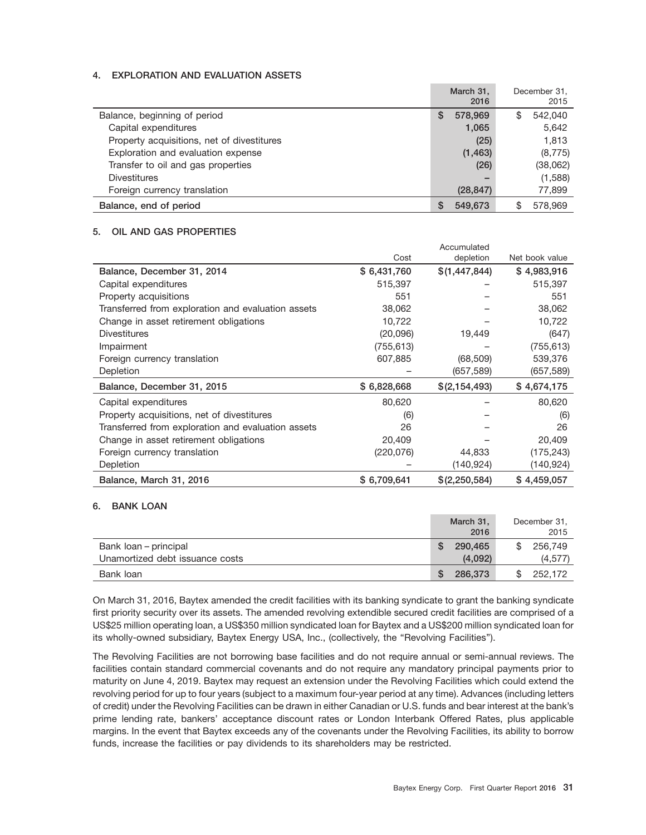#### **4. EXPLORATION AND EVALUATION ASSETS**

|                                            |   | March 31, | December 31,  |
|--------------------------------------------|---|-----------|---------------|
|                                            |   | 2016      | 2015          |
| Balance, beginning of period               | S | 578,969   | \$<br>542.040 |
| Capital expenditures                       |   | 1,065     | 5,642         |
| Property acquisitions, net of divestitures |   | (25)      | 1.813         |
| Exploration and evaluation expense         |   | (1, 463)  | (8, 775)      |
| Transfer to oil and gas properties         |   | (26)      | (38,062)      |
| <b>Divestitures</b>                        |   |           | (1,588)       |
| Foreign currency translation               |   | (28, 847) | 77,899        |
| Balance, end of period                     | S | 549,673   | \$<br>578.969 |

## **5. OIL AND GAS PROPERTIES**

|                                                    |             | Accumulated     |                |
|----------------------------------------------------|-------------|-----------------|----------------|
|                                                    | Cost        | depletion       | Net book value |
| Balance, December 31, 2014                         | \$6,431,760 | \$(1, 447, 844) | \$4,983,916    |
| Capital expenditures                               | 515,397     |                 | 515,397        |
| Property acquisitions                              | 551         |                 | 551            |
| Transferred from exploration and evaluation assets | 38,062      |                 | 38,062         |
| Change in asset retirement obligations             | 10,722      |                 | 10,722         |
| <b>Divestitures</b>                                | (20,096)    | 19,449          | (647)          |
| Impairment                                         | (755, 613)  |                 | (755, 613)     |
| Foreign currency translation                       | 607,885     | (68, 509)       | 539,376        |
| Depletion                                          |             | (657,589)       | (657, 589)     |
| Balance, December 31, 2015                         | \$6,828,668 | \$(2, 154, 493) | \$4,674,175    |
| Capital expenditures                               | 80,620      |                 | 80,620         |
| Property acquisitions, net of divestitures         | (6)         |                 | (6)            |
| Transferred from exploration and evaluation assets | 26          |                 | 26             |
| Change in asset retirement obligations             | 20,409      |                 | 20,409         |
| Foreign currency translation                       | (220, 076)  | 44,833          | (175,243)      |
| Depletion                                          |             | (140.924)       | (140,924)      |
| Balance, March 31, 2016                            | \$6,709,641 | \$(2,250,584)   | \$4,459,057    |

#### **6. BANK LOAN**

|                                 | March 31, | December 31,  |
|---------------------------------|-----------|---------------|
|                                 | 2016      | 2015          |
| Bank loan – principal           | 290,465   | \$<br>256,749 |
| Unamortized debt issuance costs | (4.092)   | (4,577)       |
| Bank loan                       | 286,373   | \$<br>252.172 |

On March 31, 2016, Baytex amended the credit facilities with its banking syndicate to grant the banking syndicate first priority security over its assets. The amended revolving extendible secured credit facilities are comprised of a US\$25 million operating loan, a US\$350 million syndicated loan for Baytex and a US\$200 million syndicated loan for its wholly-owned subsidiary, Baytex Energy USA, Inc., (collectively, the "Revolving Facilities").

The Revolving Facilities are not borrowing base facilities and do not require annual or semi-annual reviews. The facilities contain standard commercial covenants and do not require any mandatory principal payments prior to maturity on June 4, 2019. Baytex may request an extension under the Revolving Facilities which could extend the revolving period for up to four years (subject to a maximum four-year period at any time). Advances (including letters of credit) under the Revolving Facilities can be drawn in either Canadian or U.S. funds and bear interest at the bank's prime lending rate, bankers' acceptance discount rates or London Interbank Offered Rates, plus applicable margins. In the event that Baytex exceeds any of the covenants under the Revolving Facilities, its ability to borrow funds, increase the facilities or pay dividends to its shareholders may be restricted.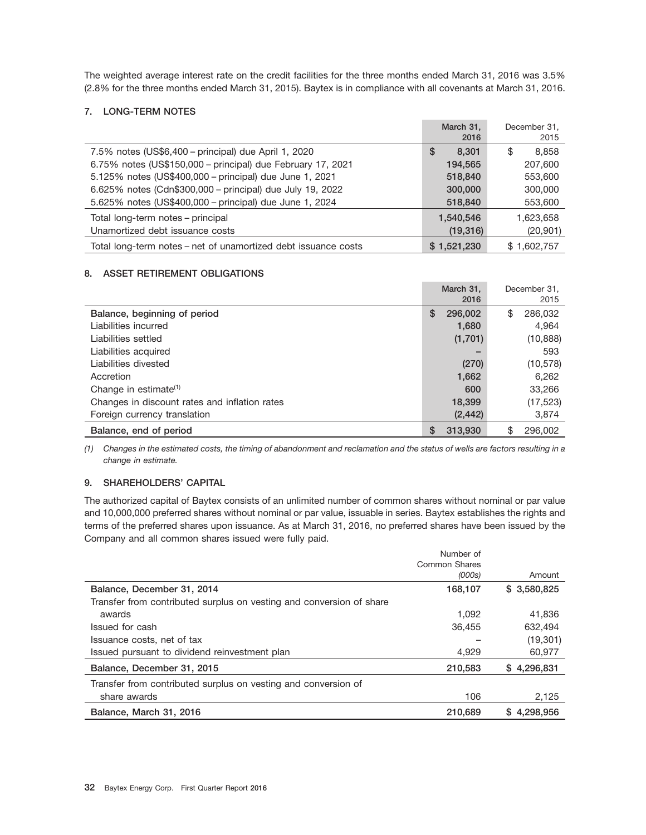The weighted average interest rate on the credit facilities for the three months ended March 31, 2016 was 3.5% (2.8% for the three months ended March 31, 2015). Baytex is in compliance with all covenants at March 31, 2016.

#### **7. LONG-TERM NOTES**

|                                                                | March 31,<br>2016 | December 31,<br>2015 |
|----------------------------------------------------------------|-------------------|----------------------|
| 7.5% notes (US\$6,400 – principal) due April 1, 2020           | <b>S</b><br>8.301 | \$<br>8.858          |
| 6.75% notes (US\$150,000 - principal) due February 17, 2021    | 194,565           | 207.600              |
| 5.125% notes (US\$400,000 - principal) due June 1, 2021        | 518,840           | 553,600              |
| 6.625% notes (Cdn\$300,000 - principal) due July 19, 2022      | 300,000           | 300,000              |
| 5.625% notes (US\$400,000 - principal) due June 1, 2024        | 518,840           | 553,600              |
| Total long-term notes – principal                              | 1,540,546         | 1,623,658            |
| Unamortized debt issuance costs                                | (19,316)          | (20, 901)            |
| Total long-term notes – net of unamortized debt issuance costs | \$1,521,230       | \$1,602,757          |

#### **8. ASSET RETIREMENT OBLIGATIONS**

|                                               | March 31,<br>2016 | December 31.<br>2015 |
|-----------------------------------------------|-------------------|----------------------|
| Balance, beginning of period                  | \$<br>296,002     | \$<br>286,032        |
| Liabilities incurred                          | 1,680             | 4,964                |
| Liabilities settled                           | (1,701)           | (10, 888)            |
| Liabilities acquired                          |                   | 593                  |
| Liabilities divested                          | (270)             | (10, 578)            |
| Accretion                                     | 1,662             | 6,262                |
| Change in estimate <sup>(1)</sup>             | 600               | 33,266               |
| Changes in discount rates and inflation rates | 18,399            | (17, 523)            |
| Foreign currency translation                  | (2, 442)          | 3,874                |
| Balance, end of period                        | \$<br>313.930     | \$<br>296,002        |

*(1) Changes in the estimated costs, the timing of abandonment and reclamation and the status of wells are factors resulting in a change in estimate.*

#### **9. SHAREHOLDERS' CAPITAL**

The authorized capital of Baytex consists of an unlimited number of common shares without nominal or par value and 10,000,000 preferred shares without nominal or par value, issuable in series. Baytex establishes the rights and terms of the preferred shares upon issuance. As at March 31, 2016, no preferred shares have been issued by the Company and all common shares issued were fully paid.

|                                                                      | Number of<br>Common Shares |             |
|----------------------------------------------------------------------|----------------------------|-------------|
|                                                                      | (000s)                     | Amount      |
| Balance, December 31, 2014                                           | 168,107                    | \$3,580,825 |
| Transfer from contributed surplus on vesting and conversion of share |                            |             |
| awards                                                               | 1.092                      | 41,836      |
| Issued for cash                                                      | 36,455                     | 632.494     |
| Issuance costs, net of tax                                           |                            | (19, 301)   |
| Issued pursuant to dividend reinvestment plan                        | 4,929                      | 60,977      |
| Balance, December 31, 2015                                           | 210,583                    | \$4,296,831 |
| Transfer from contributed surplus on vesting and conversion of       |                            |             |
| share awards                                                         | 106                        | 2,125       |
| Balance, March 31, 2016                                              | 210.689                    | \$4.298,956 |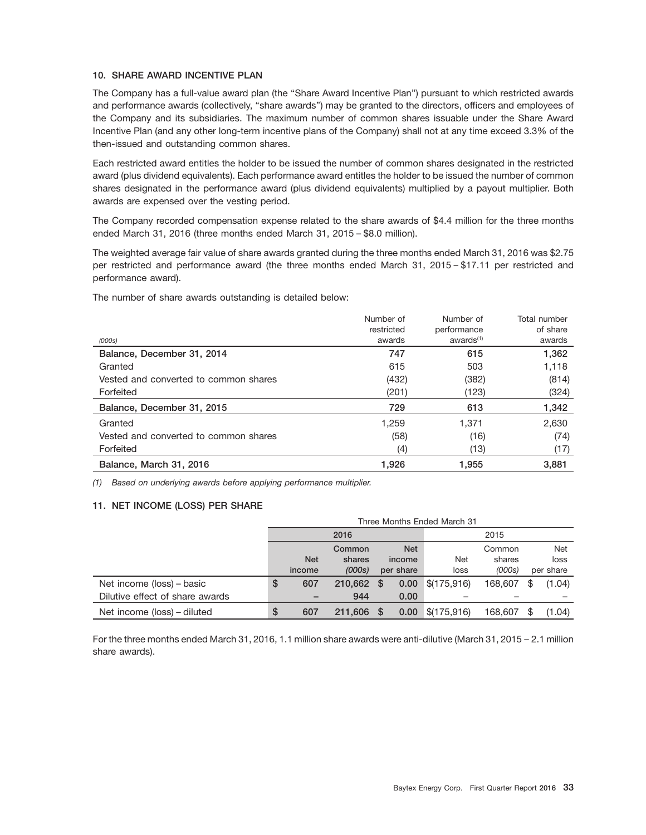#### **10. SHARE AWARD INCENTIVE PLAN**

The Company has a full-value award plan (the "Share Award Incentive Plan") pursuant to which restricted awards and performance awards (collectively, ''share awards'') may be granted to the directors, officers and employees of the Company and its subsidiaries. The maximum number of common shares issuable under the Share Award Incentive Plan (and any other long-term incentive plans of the Company) shall not at any time exceed 3.3% of the then-issued and outstanding common shares.

Each restricted award entitles the holder to be issued the number of common shares designated in the restricted award (plus dividend equivalents). Each performance award entitles the holder to be issued the number of common shares designated in the performance award (plus dividend equivalents) multiplied by a payout multiplier. Both awards are expensed over the vesting period.

The Company recorded compensation expense related to the share awards of \$4.4 million for the three months ended March 31, 2016 (three months ended March 31, 2015 – \$8.0 million).

The weighted average fair value of share awards granted during the three months ended March 31, 2016 was \$2.75 per restricted and performance award (the three months ended March 31, 2015 – \$17.11 per restricted and performance award).

The number of share awards outstanding is detailed below:

| (000s)                                | Number of<br>restricted<br>awards | Number of<br>performance<br>awards <sup>(1)</sup> | Total number<br>of share<br>awards |
|---------------------------------------|-----------------------------------|---------------------------------------------------|------------------------------------|
| Balance, December 31, 2014            | 747                               | 615                                               | 1,362                              |
| Granted                               | 615                               | 503                                               | 1,118                              |
| Vested and converted to common shares | (432)                             | (382)                                             | (814)                              |
| Forfeited                             | (201)                             | (123)                                             | (324)                              |
| Balance, December 31, 2015            | 729                               | 613                                               | 1,342                              |
| Granted                               | 1.259                             | 1.371                                             | 2,630                              |
| Vested and converted to common shares | (58)                              | (16)                                              | (74)                               |
| Forfeited                             | (4)                               | (13)                                              | (17)                               |
| Balance, March 31, 2016               | 1,926                             | 1,955                                             | 3.881                              |

*(1) Based on underlying awards before applying performance multiplier.*

#### **11. NET INCOME (LOSS) PER SHARE**

|                                 | Three Months Ended March 31 |            |         |            |           |                         |         |    |           |
|---------------------------------|-----------------------------|------------|---------|------------|-----------|-------------------------|---------|----|-----------|
|                                 |                             | 2016       |         |            |           |                         | 2015    |    |           |
|                                 |                             |            | Common  | <b>Net</b> |           |                         | Common  |    | Net       |
|                                 |                             | <b>Net</b> | shares  |            | income    | Net                     | shares  |    | loss      |
|                                 |                             | income     | (000s)  |            | per share | loss                    | (000s)  |    | per share |
| Net income (loss) – basic       | S                           | 607        | 210,662 | - \$       | 0.00      | \$(175,916)             | 168,607 | \$ | (1.04)    |
| Dilutive effect of share awards |                             | -          | 944     |            | 0.00      |                         |         |    |           |
| Net income (loss) – diluted     | S                           | 607        | 211,606 |            |           | $0.00 \quad $(175,916)$ | 168,607 |    | (1.04)    |

For the three months ended March 31, 2016, 1.1 million share awards were anti-dilutive (March 31, 2015 – 2.1 million share awards).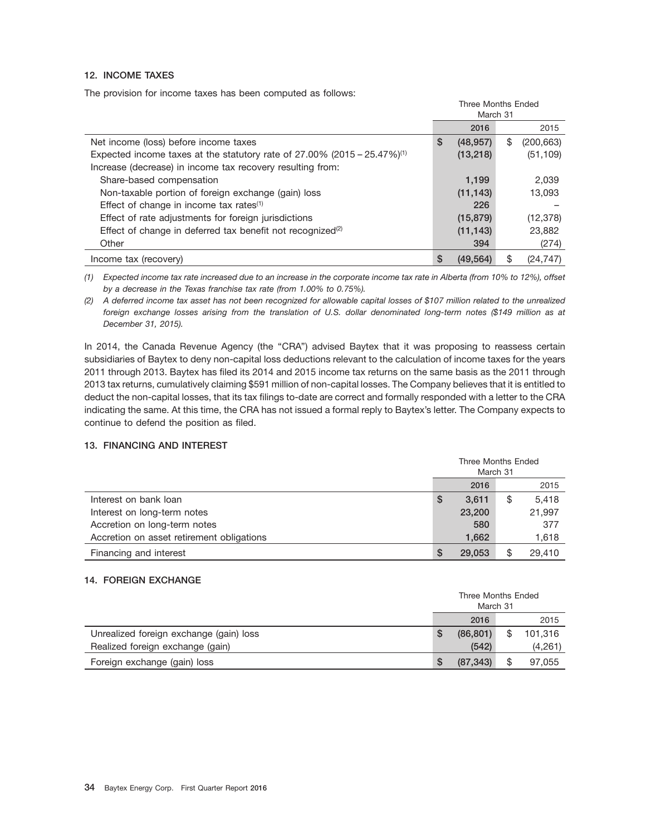#### **12. INCOME TAXES**

The provision for income taxes has been computed as follows:

|                                                                                         | Three Months Ended<br>March 31 |           |    |            |
|-----------------------------------------------------------------------------------------|--------------------------------|-----------|----|------------|
|                                                                                         |                                | 2016      |    | 2015       |
| Net income (loss) before income taxes                                                   | S                              | (48, 957) | \$ | (200, 663) |
| Expected income taxes at the statutory rate of $27.00\%$ (2015 – 25.47%) <sup>(1)</sup> |                                | (13, 218) |    | (51, 109)  |
| Increase (decrease) in income tax recovery resulting from:                              |                                |           |    |            |
| Share-based compensation                                                                |                                | 1,199     |    | 2,039      |
| Non-taxable portion of foreign exchange (gain) loss                                     |                                | (11, 143) |    | 13.093     |
| Effect of change in income tax rates $(1)$                                              |                                | 226       |    |            |
| Effect of rate adjustments for foreign jurisdictions                                    |                                | (15, 879) |    | (12, 378)  |
| Effect of change in deferred tax benefit not recognized <sup>(2)</sup>                  |                                | (11, 143) |    | 23,882     |
| Other                                                                                   |                                | 394       |    | (274)      |
| Income tax (recovery)                                                                   | S                              | (49.564)  | \$ | (24, 747)  |

*(1) Expected income tax rate increased due to an increase in the corporate income tax rate in Alberta (from 10% to 12%), offset by a decrease in the Texas franchise tax rate (from 1.00% to 0.75%).*

*(2) A deferred income tax asset has not been recognized for allowable capital losses of \$107 million related to the unrealized foreign exchange losses arising from the translation of U.S. dollar denominated long-term notes (\$149 million as at December 31, 2015).*

In 2014, the Canada Revenue Agency (the "CRA") advised Baytex that it was proposing to reassess certain subsidiaries of Baytex to deny non-capital loss deductions relevant to the calculation of income taxes for the years 2011 through 2013. Baytex has filed its 2014 and 2015 income tax returns on the same basis as the 2011 through 2013 tax returns, cumulatively claiming \$591 million of non-capital losses. The Company believes that it is entitled to deduct the non-capital losses, that its tax filings to-date are correct and formally responded with a letter to the CRA indicating the same. At this time, the CRA has not issued a formal reply to Baytex's letter. The Company expects to continue to defend the position as filed.

#### **13. FINANCING AND INTEREST**

|                                           |   | Three Months Ended<br>March 31 |    |        |  |
|-------------------------------------------|---|--------------------------------|----|--------|--|
|                                           |   | 2016                           |    | 2015   |  |
| Interest on bank loan                     | S | 3.611                          | \$ | 5,418  |  |
| Interest on long-term notes               |   | 23,200                         |    | 21,997 |  |
| Accretion on long-term notes              |   | 580                            |    | 377    |  |
| Accretion on asset retirement obligations |   | 1.662                          |    | 1,618  |  |
| Financing and interest                    |   | 29,053                         | \$ | 29,410 |  |

### **14. FOREIGN EXCHANGE**

|                                         |   | Three Months Ended<br>March 31 |               |
|-----------------------------------------|---|--------------------------------|---------------|
|                                         |   | 2016                           | 2015          |
| Unrealized foreign exchange (gain) loss |   | (86, 801)                      | \$<br>101,316 |
| Realized foreign exchange (gain)        |   | (542)                          | (4,261)       |
| Foreign exchange (gain) loss            | S | (87, 343)                      | 97,055        |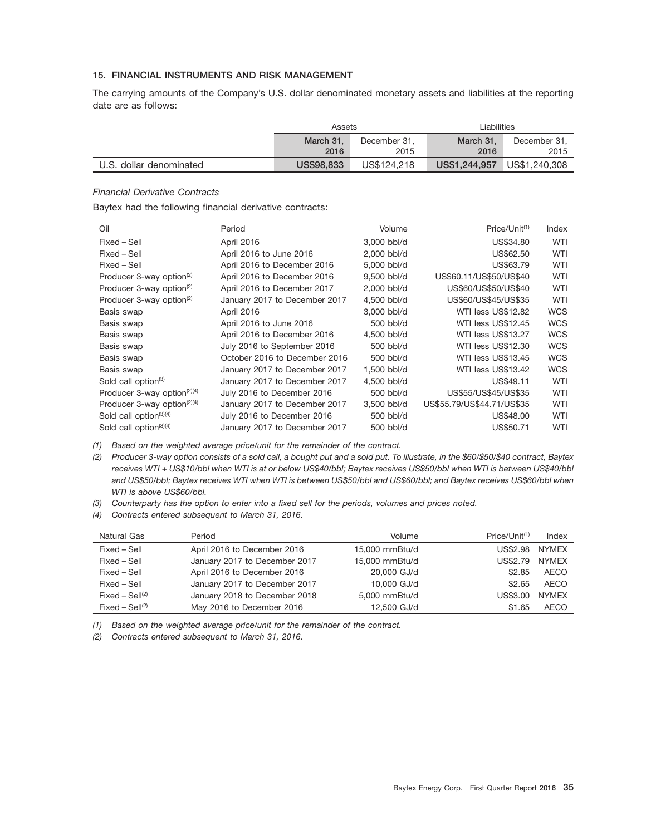#### **15. FINANCIAL INSTRUMENTS AND RISK MANAGEMENT**

The carrying amounts of the Company's U.S. dollar denominated monetary assets and liabilities at the reporting date are as follows:

|                         | Assets     |              | Liabilities   |               |  |  |
|-------------------------|------------|--------------|---------------|---------------|--|--|
|                         | March 31,  | December 31. | March 31.     | December 31.  |  |  |
|                         | 2016       | 2015         | 2016          | 2015          |  |  |
| U.S. dollar denominated | US\$98,833 | US\$124,218  | US\$1,244,957 | US\$1,240,308 |  |  |

#### *Financial Derivative Contracts*

Baytex had the following financial derivative contracts:

| Oil                                                  | Period                        | Volume      | Price/Unit <sup>(1)</sup>  | Index      |
|------------------------------------------------------|-------------------------------|-------------|----------------------------|------------|
| Fixed - Sell                                         | April 2016                    | 3,000 bbl/d | US\$34.80                  | <b>WTI</b> |
| Fixed - Sell                                         | April 2016 to June 2016       | 2,000 bbl/d | US\$62.50                  | WTI        |
| Fixed - Sell                                         | April 2016 to December 2016   | 5,000 bbl/d | US\$63.79                  | WTI        |
| Producer 3-way option <sup>(2)</sup>                 | April 2016 to December 2016   | 9,500 bbl/d | US\$60.11/US\$50/US\$40    | <b>WTI</b> |
| Producer 3-way option <sup>(2)</sup>                 | April 2016 to December 2017   | 2,000 bbl/d | US\$60/US\$50/US\$40       | WTI        |
| Producer 3-way option <sup>(2)</sup>                 | January 2017 to December 2017 | 4.500 bbl/d | US\$60/US\$45/US\$35       | <b>WTI</b> |
| Basis swap                                           | April 2016                    | 3,000 bbl/d | WTI less US\$12.82         | <b>WCS</b> |
| Basis swap                                           | April 2016 to June 2016       | 500 bbl/d   | WTI less US\$12.45         | <b>WCS</b> |
| Basis swap                                           | April 2016 to December 2016   | 4,500 bbl/d | WTI less US\$13.27         | <b>WCS</b> |
| Basis swap                                           | July 2016 to September 2016   | 500 bbl/d   | WTI less US\$12.30         | <b>WCS</b> |
| Basis swap                                           | October 2016 to December 2016 | 500 bbl/d   | WTI less US\$13.45         | <b>WCS</b> |
| Basis swap                                           | January 2017 to December 2017 | 1,500 bbl/d | WTI less US\$13.42         | <b>WCS</b> |
| Sold call option <sup>(3)</sup>                      | January 2017 to December 2017 | 4,500 bbl/d | US\$49.11                  | <b>WTI</b> |
| Producer 3-way option <sup>(2)(4)</sup>              | July 2016 to December 2016    | 500 bbl/d   | US\$55/US\$45/US\$35       | WTI        |
| Producer 3-way option <sup><math>(2)(4)</math></sup> | January 2017 to December 2017 | 3,500 bbl/d | US\$55.79/US\$44.71/US\$35 | WTI        |
| Sold call option $(3)(4)$                            | July 2016 to December 2016    | 500 bbl/d   | US\$48.00                  | <b>WTI</b> |
| Sold call option $(3)(4)$                            | January 2017 to December 2017 | 500 bbl/d   | US\$50.71                  | <b>WTI</b> |

*(1) Based on the weighted average price/unit for the remainder of the contract.*

*(2) Producer 3-way option consists of a sold call, a bought put and a sold put. To illustrate, in the \$60/\$50/\$40 contract, Baytex receives WTI + US\$10/bbl when WTI is at or below US\$40/bbl; Baytex receives US\$50/bbl when WTI is between US\$40/bbl and US\$50/bbl; Baytex receives WTI when WTI is between US\$50/bbl and US\$60/bbl; and Baytex receives US\$60/bbl when WTI is above US\$60/bbl.*

*(3) Counterparty has the option to enter into a fixed sell for the periods, volumes and prices noted.*

*(4) Contracts entered subsequent to March 31, 2016.*

| Natural Gas        | Period                        | Volume         | Price/Unit <sup>(1)</sup> | Index        |
|--------------------|-------------------------------|----------------|---------------------------|--------------|
| Fixed – Sell       | April 2016 to December 2016   | 15,000 mmBtu/d | <b>US\$2.98</b>           | <b>NYMEX</b> |
| Fixed – Sell       | January 2017 to December 2017 | 15,000 mmBtu/d | <b>US\$2.79</b>           | <b>NYMEX</b> |
| Fixed – Sell       | April 2016 to December 2016   | 20,000 GJ/d    | \$2.85                    | <b>AECO</b>  |
| Fixed – Sell       | January 2017 to December 2017 | 10,000 GJ/d    | \$2.65                    | <b>AECO</b>  |
| $Fixed-Sell^{(2)}$ | January 2018 to December 2018 | 5,000 mmBtu/d  | US\$3.00                  | <b>NYMEX</b> |
| $Fixed-Sell^{(2)}$ | May 2016 to December 2016     | 12,500 GJ/d    | \$1.65                    | <b>AECO</b>  |

*(1) Based on the weighted average price/unit for the remainder of the contract.*

*(2) Contracts entered subsequent to March 31, 2016.*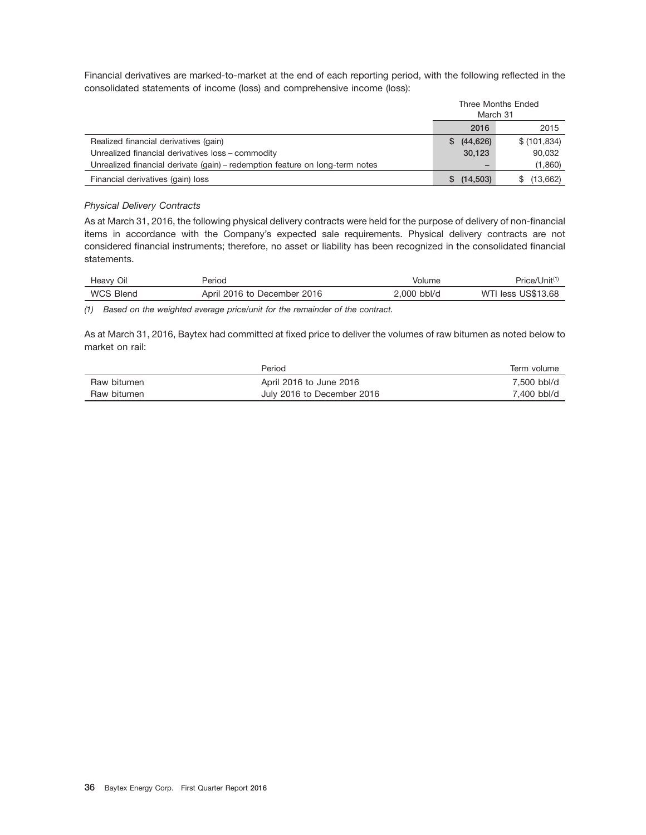Financial derivatives are marked-to-market at the end of each reporting period, with the following reflected in the consolidated statements of income (loss) and comprehensive income (loss):

|                                                                              | Three Months Ended<br>March 31 |              |
|------------------------------------------------------------------------------|--------------------------------|--------------|
|                                                                              | 2016                           | 2015         |
| Realized financial derivatives (gain)                                        | (44, 626)<br>SS.               | \$(101, 834) |
| Unrealized financial derivatives loss - commodity                            | 30,123                         | 90,032       |
| Unrealized financial derivate (gain) – redemption feature on long-term notes | $\overline{\phantom{0}}$       | (1,860)      |
| Financial derivatives (gain) loss                                            | (14, 503)                      | (13,662)     |

#### *Physical Delivery Contracts*

As at March 31, 2016, the following physical delivery contracts were held for the purpose of delivery of non-financial items in accordance with the Company's expected sale requirements. Physical delivery contracts are not considered financial instruments; therefore, no asset or liability has been recognized in the consolidated financial statements.

| Heavy Oil        | Period                      | Volume      | Price/Unit <sup>(1)</sup> |
|------------------|-----------------------------|-------------|---------------------------|
| <b>WCS Blend</b> | April 2016 to December 2016 | 2.000 bbl/d | WTI less US\$13.68        |
|                  |                             |             |                           |

*(1) Based on the weighted average price/unit for the remainder of the contract.*

As at March 31, 2016, Baytex had committed at fixed price to deliver the volumes of raw bitumen as noted below to market on rail:

|             | Period                     | Term volume |
|-------------|----------------------------|-------------|
| Raw bitumen | April 2016 to June 2016    | 7.500 bbl/d |
| Raw bitumen | July 2016 to December 2016 | 7.400 bbl/d |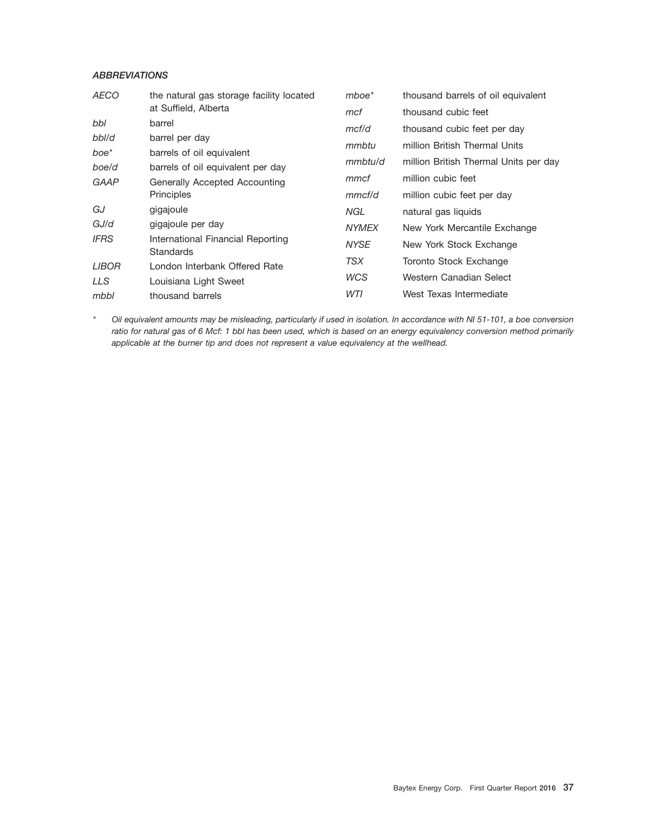## *ABBREVIATIONS*

| the natural gas storage facility located | $m$ boe $*$                                                                                                     | thousand barrels of oil equivalent    |
|------------------------------------------|-----------------------------------------------------------------------------------------------------------------|---------------------------------------|
| at Suffield, Alberta                     | mcf                                                                                                             | thousand cubic feet                   |
| barrel                                   | mcf/d                                                                                                           | thousand cubic feet per day           |
| barrel per day                           |                                                                                                                 | million British Thermal Units         |
| barrels of oil equivalent                |                                                                                                                 |                                       |
|                                          |                                                                                                                 | million British Thermal Units per day |
| Generally Accepted Accounting            | mmcf                                                                                                            | million cubic feet                    |
| <b>Principles</b>                        | mmcf/d                                                                                                          | million cubic feet per day            |
| gigajoule                                | NGL                                                                                                             | natural gas liquids                   |
| gigajoule per day                        | <b>NYMEX</b>                                                                                                    | New York Mercantile Exchange          |
| International Financial Reporting        | <b>NYSE</b>                                                                                                     | New York Stock Exchange               |
|                                          | TSX                                                                                                             | Toronto Stock Exchange                |
|                                          | <b>WCS</b>                                                                                                      | Western Canadian Select               |
| thousand barrels                         | WTI                                                                                                             | West Texas Intermediate               |
|                                          | barrels of oil equivalent per day<br><b>Standards</b><br>London Interbank Offered Rate<br>Louisiana Light Sweet | mmbtu<br>mmbtu/d                      |

*\* Oil equivalent amounts may be misleading, particularly if used in isolation. In accordance with NI 51-101, a boe conversion ratio for natural gas of 6 Mcf: 1 bbl has been used, which is based on an energy equivalency conversion method primarily applicable at the burner tip and does not represent a value equivalency at the wellhead.*